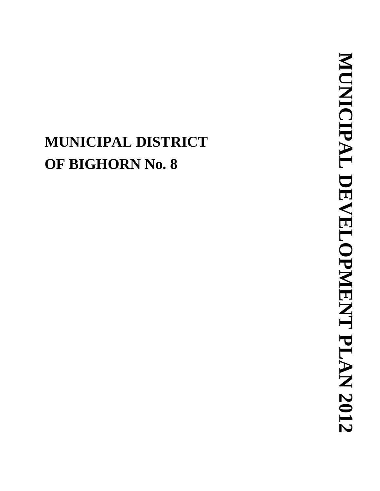# **MUNICIPAL DISTRICT OF BIGHORN N o. 8**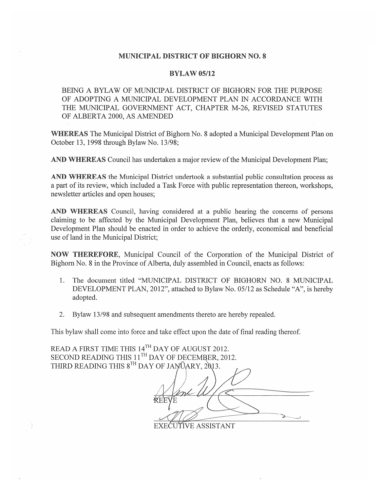#### **MUNICIPAL DISTRICT OF BIGHORN NO. 8**

#### **BYLAW 05/12**

BEING A BYLAW OF MUNICIPAL DISTRICT OF BIGHORN FOR THE PURPOSE OF ADOPTING A MUNICIPAL DEVELOPMENT PLAN IN ACCORDANCE WITH THE MUNICIPAL GOVERNMENT ACT, CHAPTER M-26, REVISED STATUTES OF ALBERTA 2000, AS AMENDED

**WHEREAS** The Municipal District of Bighorn No. 8 adopted a Municipal Development Plan on October 13, 1998 through Bylaw No. 13/98;

AND WHEREAS Council has undertaken a major review of the Municipal Development Plan;

**AND WHEREAS** the Municipal District undertook a substantial public consultation process as a part of its review, which included a Task Force with public representation thereon, workshops, newsletter articles and open houses;

AND WHEREAS Council, having considered at a public hearing the concerns of persons claiming to be affected by the Municipal Development Plan, believes that a new Municipal Development Plan should be enacted in order to achieve the orderly, economical and beneficial use of land in the Municipal District;

NOW THEREFORE, Municipal Council of the Corporation of the Municipal District of Bighorn No. 8 in the Province of Alberta, duly assembled in Council, enacts as follows:

- The document titled "MUNICIPAL DISTRICT OF BIGHORN NO. 8 MUNICIPAL  $1.$ DEVELOPMENT PLAN, 2012", attached to Bylaw No. 05/12 as Schedule "A", is hereby adopted.
- Bylaw 13/98 and subsequent amendments thereto are hereby repealed.  $2.$

This bylaw shall come into force and take effect upon the date of final reading thereof.

READ A FIRST TIME THIS 14TH DAY OF AUGUST 2012. SECOND READING THIS  $11^{TH}$  DAY OF DECEMBER, 2012.<br>THIRD READING THIS  $8^{TH}$  DAY OF JANOARY, 2013.

EXEĆUTIVE ASSISTANT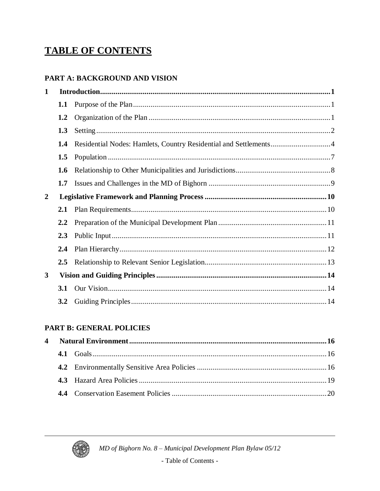# **TABLE OF CONTENTS**

#### PART A: BACKGROUND AND VISION

| $\mathbf 1$    |               |  |
|----------------|---------------|--|
|                | 1.1           |  |
|                | 1.2           |  |
|                | 1.3           |  |
|                | 1.4           |  |
|                | 1.5           |  |
|                | 1.6           |  |
|                | 1.7           |  |
| $\overline{2}$ |               |  |
|                |               |  |
|                | 2.1           |  |
|                | $2.2^{\circ}$ |  |
|                | 2.3           |  |
|                | 2.4           |  |
|                | $2.5\,$       |  |
| $\mathbf{3}$   |               |  |
|                | 3.1           |  |

#### **PART B: GENERAL POLICIES**

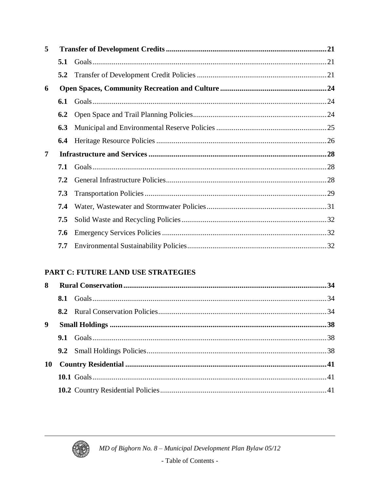| 5              |               |  |  |  |  |  |
|----------------|---------------|--|--|--|--|--|
|                | 5.1           |  |  |  |  |  |
|                | $5.2^{\circ}$ |  |  |  |  |  |
| 6              |               |  |  |  |  |  |
|                | 6.1           |  |  |  |  |  |
|                | 6.2           |  |  |  |  |  |
|                | 6.3           |  |  |  |  |  |
|                | 6.4           |  |  |  |  |  |
| $\overline{7}$ |               |  |  |  |  |  |
|                | 7.1           |  |  |  |  |  |
|                |               |  |  |  |  |  |
|                | 7.2           |  |  |  |  |  |
|                | 7.3           |  |  |  |  |  |
|                | 7.4           |  |  |  |  |  |
|                | 7.5           |  |  |  |  |  |
|                | 7.6           |  |  |  |  |  |

#### PART C: FUTURE LAND USE STRATEGIES

| 8  |  |  |
|----|--|--|
|    |  |  |
|    |  |  |
| 9  |  |  |
|    |  |  |
|    |  |  |
| 10 |  |  |
|    |  |  |
|    |  |  |

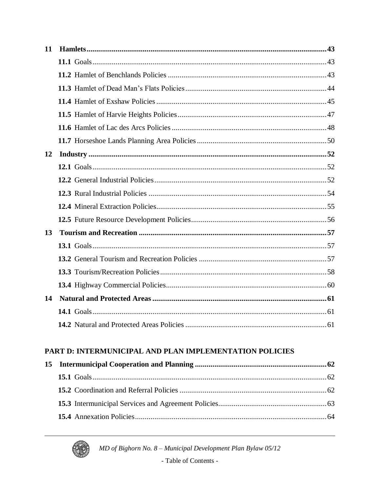| 11 |  |
|----|--|
|    |  |
|    |  |
|    |  |
|    |  |
|    |  |
|    |  |
|    |  |
| 12 |  |
|    |  |
|    |  |
|    |  |
|    |  |
|    |  |
| 13 |  |
|    |  |
|    |  |
|    |  |
|    |  |
| 14 |  |
|    |  |
|    |  |

### PART D: INTERMUNICIPAL AND PLAN IMPLEMENTATION POLICIES



MD of Bighorn No. 8 - Municipal Development Plan Bylaw 05/12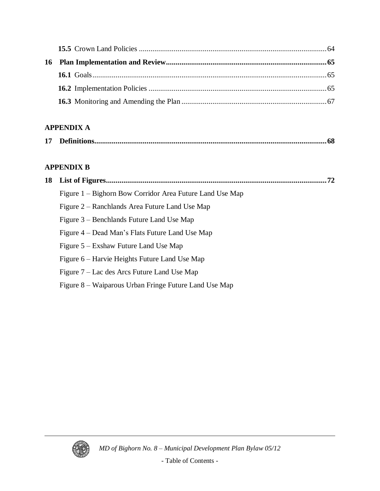### **APPENDIX A**

|--|--|

### **APPENDIX B**

| 18 |                                                          |  |  |  |  |
|----|----------------------------------------------------------|--|--|--|--|
|    | Figure 1 – Bighorn Bow Corridor Area Future Land Use Map |  |  |  |  |
|    | Figure 2 – Ranchlands Area Future Land Use Map           |  |  |  |  |
|    | Figure 3 – Benchlands Future Land Use Map                |  |  |  |  |
|    | Figure 4 – Dead Man's Flats Future Land Use Map          |  |  |  |  |
|    | Figure 5 – Exshaw Future Land Use Map                    |  |  |  |  |
|    | Figure 6 – Harvie Heights Future Land Use Map            |  |  |  |  |
|    | Figure 7 – Lac des Arcs Future Land Use Map              |  |  |  |  |
|    | Figure 8 – Waiparous Urban Fringe Future Land Use Map    |  |  |  |  |
|    |                                                          |  |  |  |  |

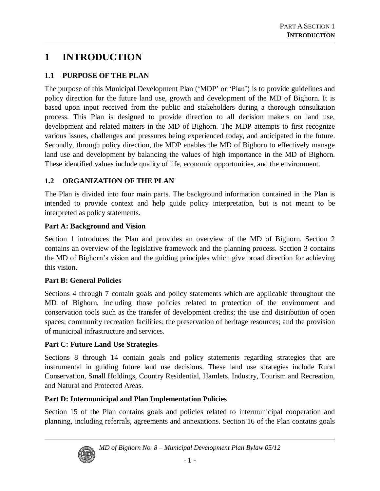### **1 INTRODUCTION**

#### **1.1 PURPOSE OF THE PLAN**

The purpose of this Municipal Development Plan ('MDP' or 'Plan') is to provide guidelines and policy direction for the future land use, growth and development of the MD of Bighorn. It is based upon input received from the public and stakeholders during a thorough consultation process. This Plan is designed to provide direction to all decision makers on land use, development and related matters in the MD of Bighorn. The MDP attempts to first recognize various issues, challenges and pressures being experienced today, and anticipated in the future. Secondly, through policy direction, the MDP enables the MD of Bighorn to effectively manage land use and development by balancing the values of high importance in the MD of Bighorn. These identified values include quality of life, economic opportunities, and the environment.

#### **1.2 ORGANIZATION OF THE PLAN**

The Plan is divided into four main parts. The background information contained in the Plan is intended to provide context and help guide policy interpretation, but is not meant to be interpreted as policy statements.

#### **Part A: Background and Vision**

Section 1 introduces the Plan and provides an overview of the MD of Bighorn. Section 2 contains an overview of the legislative framework and the planning process. Section 3 contains the MD of Bighorn's vision and the guiding principles which give broad direction for achieving this vision.

#### **Part B: General Policies**

Sections 4 through 7 contain goals and policy statements which are applicable throughout the MD of Bighorn, including those policies related to protection of the environment and conservation tools such as the transfer of development credits; the use and distribution of open spaces; community recreation facilities; the preservation of heritage resources; and the provision of municipal infrastructure and services.

#### **Part C: Future Land Use Strategies**

Sections 8 through 14 contain goals and policy statements regarding strategies that are instrumental in guiding future land use decisions. These land use strategies include Rural Conservation, Small Holdings, Country Residential, Hamlets, Industry, Tourism and Recreation, and Natural and Protected Areas.

#### **Part D: Intermunicipal and Plan Implementation Policies**

Section 15 of the Plan contains goals and policies related to intermunicipal cooperation and planning, including referrals, agreements and annexations. Section 16 of the Plan contains goals

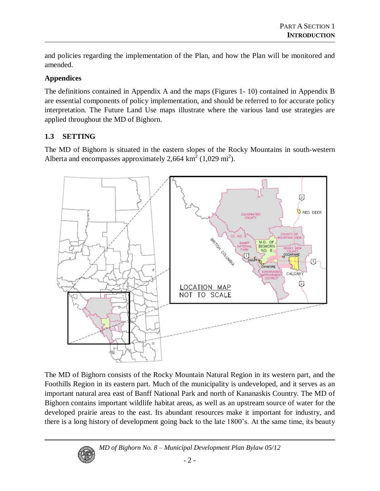and policies regarding the implementation of the Plan, and how the Plan will be monitored and amended.

#### **Appendices**

The definitions contained in Appendix A and the maps (Figures 1- 10) contained in Appendix B are essential components of policy implementation, and should be referred to for accurate policy interpretation. The Future Land Use maps illustrate where the various land use strategies are applied throughout the MD of Bighorn.

#### **1.3 SETTING**

The MD of Bighorn is situated in the eastern slopes of the Rocky Mountains in south-western Alberta and encompasses approximately 2,664  $\text{km}^2$  (1,029 mi<sup>2</sup>).



The MD of Bighorn consists of the Rocky Mountain Natural Region in its western part, and the Foothills Region in its eastern part. Much of the municipality is undeveloped, and it serves as an important natural area east of Banff National Park and north of Kananaskis Country. The MD of Bighorn contains important wildlife habitat areas, as well as an upstream source of water for the developed prairie areas to the east. Its abundant resources make it important for industry, and there is a long history of development going back to the late 1800's. At the same time, its beauty

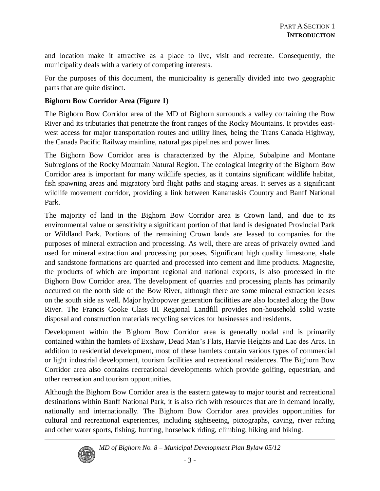and location make it attractive as a place to live, visit and recreate. Consequently, the municipality deals with a variety of competing interests.

For the purposes of this document, the municipality is generally divided into two geographic parts that are quite distinct.

#### **Bighorn Bow Corridor Area (Figure 1)**

The Bighorn Bow Corridor area of the MD of Bighorn surrounds a valley containing the Bow River and its tributaries that penetrate the front ranges of the Rocky Mountains. It provides eastwest access for major transportation routes and utility lines, being the Trans Canada Highway, the Canada Pacific Railway mainline, natural gas pipelines and power lines.

The Bighorn Bow Corridor area is characterized by the Alpine, Subalpine and Montane Subregions of the Rocky Mountain Natural Region. The ecological integrity of the Bighorn Bow Corridor area is important for many wildlife species, as it contains significant wildlife habitat, fish spawning areas and migratory bird flight paths and staging areas. It serves as a significant wildlife movement corridor, providing a link between Kananaskis Country and Banff National Park.

The majority of land in the Bighorn Bow Corridor area is Crown land, and due to its environmental value or sensitivity a significant portion of that land is designated Provincial Park or Wildland Park. Portions of the remaining Crown lands are leased to companies for the purposes of mineral extraction and processing. As well, there are areas of privately owned land used for mineral extraction and processing purposes. Significant high quality limestone, shale and sandstone formations are quarried and processed into cement and lime products. Magnesite, the products of which are important regional and national exports, is also processed in the Bighorn Bow Corridor area. The development of quarries and processing plants has primarily occurred on the north side of the Bow River, although there are some mineral extraction leases on the south side as well. Major hydropower generation facilities are also located along the Bow River. The Francis Cooke Class III Regional Landfill provides non-household solid waste disposal and construction materials recycling services for businesses and residents.

Development within the Bighorn Bow Corridor area is generally nodal and is primarily contained within the hamlets of Exshaw, Dead Man's Flats, Harvie Heights and Lac des Arcs. In addition to residential development, most of these hamlets contain various types of commercial or light industrial development, tourism facilities and recreational residences. The Bighorn Bow Corridor area also contains recreational developments which provide golfing, equestrian, and other recreation and tourism opportunities.

Although the Bighorn Bow Corridor area is the eastern gateway to major tourist and recreational destinations within Banff National Park, it is also rich with resources that are in demand locally, nationally and internationally. The Bighorn Bow Corridor area provides opportunities for cultural and recreational experiences, including sightseeing, pictographs, caving, river rafting and other water sports, fishing, hunting, horseback riding, climbing, hiking and biking.



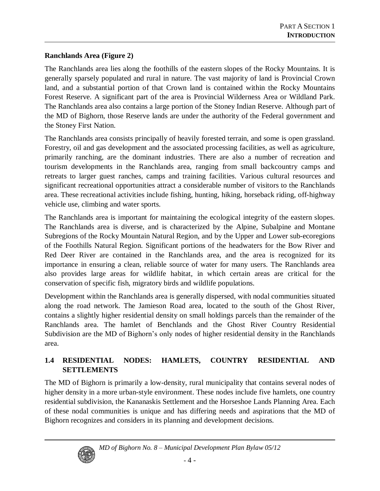#### **Ranchlands Area (Figure 2)**

The Ranchlands area lies along the foothills of the eastern slopes of the Rocky Mountains. It is generally sparsely populated and rural in nature. The vast majority of land is Provincial Crown land, and a substantial portion of that Crown land is contained within the Rocky Mountains Forest Reserve. A significant part of the area is Provincial Wilderness Area or Wildland Park. The Ranchlands area also contains a large portion of the Stoney Indian Reserve. Although part of the MD of Bighorn, those Reserve lands are under the authority of the Federal government and the Stoney First Nation.

The Ranchlands area consists principally of heavily forested terrain, and some is open grassland. Forestry, oil and gas development and the associated processing facilities, as well as agriculture, primarily ranching, are the dominant industries. There are also a number of recreation and tourism developments in the Ranchlands area, ranging from small backcountry camps and retreats to larger guest ranches, camps and training facilities. Various cultural resources and significant recreational opportunities attract a considerable number of visitors to the Ranchlands area. These recreational activities include fishing, hunting, hiking, horseback riding, off-highway vehicle use, climbing and water sports.

The Ranchlands area is important for maintaining the ecological integrity of the eastern slopes. The Ranchlands area is diverse, and is characterized by the Alpine, Subalpine and Montane Subregions of the Rocky Mountain Natural Region, and by the Upper and Lower sub-ecoregions of the Foothills Natural Region. Significant portions of the headwaters for the Bow River and Red Deer River are contained in the Ranchlands area, and the area is recognized for its importance in ensuring a clean, reliable source of water for many users. The Ranchlands area also provides large areas for wildlife habitat, in which certain areas are critical for the conservation of specific fish, migratory birds and wildlife populations.

Development within the Ranchlands area is generally dispersed, with nodal communities situated along the road network. The Jamieson Road area, located to the south of the Ghost River, contains a slightly higher residential density on small holdings parcels than the remainder of the Ranchlands area. The hamlet of Benchlands and the Ghost River Country Residential Subdivision are the MD of Bighorn's only nodes of higher residential density in the Ranchlands area.

#### **1.4 RESIDENTIAL NODES: HAMLETS, COUNTRY RESIDENTIAL AND SETTLEMENTS**

The MD of Bighorn is primarily a low-density, rural municipality that contains several nodes of higher density in a more urban-style environment. These nodes include five hamlets, one country residential subdivision, the Kananaskis Settlement and the Horseshoe Lands Planning Area. Each of these nodal communities is unique and has differing needs and aspirations that the MD of Bighorn recognizes and considers in its planning and development decisions.



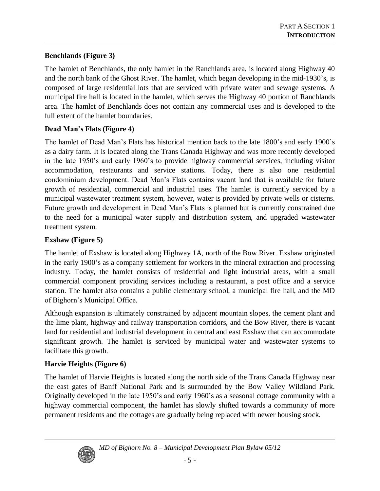#### **Benchlands (Figure 3)**

The hamlet of Benchlands, the only hamlet in the Ranchlands area, is located along Highway 40 and the north bank of the Ghost River. The hamlet, which began developing in the mid-1930's, is composed of large residential lots that are serviced with private water and sewage systems. A municipal fire hall is located in the hamlet, which serves the Highway 40 portion of Ranchlands area. The hamlet of Benchlands does not contain any commercial uses and is developed to the full extent of the hamlet boundaries.

#### **DeadMan'sFlats (Figure 4)**

The hamlet of Dead Man's Flats has historical mention back to the late 1800's and early 1900's as a dairy farm. It is located along the Trans Canada Highway and was more recently developed in the late 1950's and early 1960's to provide highway commercial services, including visitor accommodation, restaurants and service stations. Today, there is also one residential condominium development. Dead Man's Flats contains vacant land that is available for future growth of residential, commercial and industrial uses. The hamlet is currently serviced by a municipal wastewater treatment system, however, water is provided by private wells or cisterns. Future growth and development in Dead Man's Flats is planned but is currently constrained due to the need for a municipal water supply and distribution system, and upgraded wastewater treatment system.

#### **Exshaw (Figure 5)**

The hamlet of Exshaw is located along Highway 1A, north of the Bow River. Exshaw originated in the early 1900's as a company settlement for workers in the mineral extraction and processing industry. Today, the hamlet consists of residential and light industrial areas, with a small commercial component providing services including a restaurant, a post office and a service station. The hamlet also contains a public elementary school, a municipal fire hall, and the MD of Bighorn's Municipal Office.

Although expansion is ultimately constrained by adjacent mountain slopes, the cement plant and the lime plant, highway and railway transportation corridors, and the Bow River, there is vacant land for residential and industrial development in central and east Exshaw that can accommodate significant growth. The hamlet is serviced by municipal water and wastewater systems to facilitate this growth.

#### **Harvie Heights (Figure 6)**

The hamlet of Harvie Heights is located along the north side of the Trans Canada Highway near the east gates of Banff National Park and is surrounded by the Bow Valley Wildland Park. Originally developed in the late 1950's and early 1960's as a seasonal cottage community with a highway commercial component, the hamlet has slowly shifted towards a community of more permanent residents and the cottages are gradually being replaced with newer housing stock.

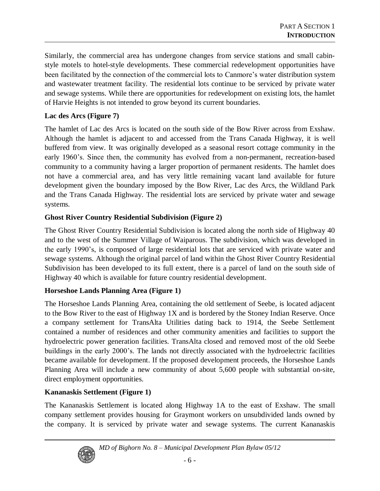Similarly, the commercial area has undergone changes from service stations and small cabinstyle motels to hotel-style developments. These commercial redevelopment opportunities have been facilitated by the connection of the commercial lots to Canmore's water distribution system and wastewater treatment facility. The residential lots continue to be serviced by private water and sewage systems. While there are opportunities for redevelopment on existing lots, the hamlet of Harvie Heights is not intended to grow beyond its current boundaries.

#### **Lac des Arcs (Figure 7)**

The hamlet of Lac des Arcs is located on the south side of the Bow River across from Exshaw. Although the hamlet is adjacent to and accessed from the Trans Canada Highway, it is well buffered from view. It was originally developed as a seasonal resort cottage community in the early 1960's. Since then, the community has evolved from a non-permanent, recreation-based community to a community having a larger proportion of permanent residents. The hamlet does not have a commercial area, and has very little remaining vacant land available for future development given the boundary imposed by the Bow River, Lac des Arcs, the Wildland Park and the Trans Canada Highway. The residential lots are serviced by private water and sewage systems.

#### **Ghost River Country Residential Subdivision (Figure 2)**

The Ghost River Country Residential Subdivision is located along the north side of Highway 40 and to the west of the Summer Village of Waiparous. The subdivision, which was developed in the early 1990's, is composed of large residential lots that are serviced with private water and sewage systems. Although the original parcel of land within the Ghost River Country Residential Subdivision has been developed to its full extent, there is a parcel of land on the south side of Highway 40 which is available for future country residential development.

#### **Horseshoe Lands Planning Area (Figure 1)**

The Horseshoe Lands Planning Area, containing the old settlement of Seebe, is located adjacent to the Bow River to the east of Highway 1X and is bordered by the Stoney Indian Reserve. Once a company settlement for TransAlta Utilities dating back to 1914, the Seebe Settlement contained a number of residences and other community amenities and facilities to support the hydroelectric power generation facilities. TransAlta closed and removed most of the old Seebe buildings in the early 2000's. The lands not directly associated with the hydroelectric facilities became available for development. If the proposed development proceeds, the Horseshoe Lands Planning Area will include a new community of about 5,600 people with substantial on-site, direct employment opportunities.

#### **Kananaskis Settlement (Figure 1)**

The Kananaskis Settlement is located along Highway 1A to the east of Exshaw. The small company settlement provides housing for Graymont workers on unsubdivided lands owned by the company. It is serviced by private water and sewage systems. The current Kananaskis



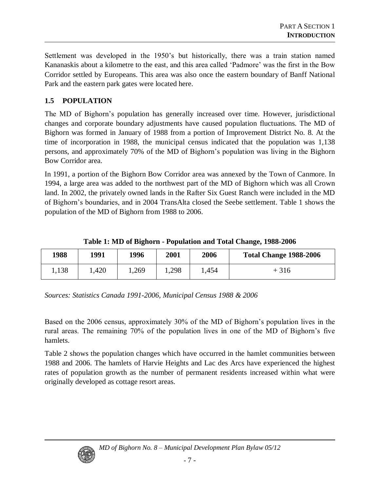Settlement was developed in the 1950's but historically, there was a train station named Kananaskis about a kilometre to the east, and this area called 'Padmore' was the first in the Bow Corridor settled by Europeans. This area was also once the eastern boundary of Banff National Park and the eastern park gates were located here.

#### **1.5 POPULATION**

The MD of Bighorn's population has generally increased over time. However, jurisdictional changes and corporate boundary adjustments have caused population fluctuations. The MD of Bighorn was formed in January of 1988 from a portion of Improvement District No. 8. At the time of incorporation in 1988, the municipal census indicated that the population was 1,138 persons, and approximately 70% of the MD of Bighorn's population was living in the Bighorn Bow Corridor area.

In 1991, a portion of the Bighorn Bow Corridor area was annexed by the Town of Canmore. In 1994, a large area was added to the northwest part of the MD of Bighorn which was all Crown land. In 2002, the privately owned lands in the Rafter Six Guest Ranch were included in the MD of Bighorn's boundaries, and in 2004 TransAlta closed the Seebe settlement. Table 1 shows the population of the MD of Bighorn from 1988 to 2006.

| 1988  | 1991       | 1996  | 2001  | 2006  | <b>Total Change 1988-2006</b> |
|-------|------------|-------|-------|-------|-------------------------------|
| 1,138 | <b>420</b> | .,269 | 1,298 | . 454 | $+316$                        |

*Sources: Statistics Canada 1991-2006, Municipal Census 1988 & 2006*

Based on the 2006 census, approximately 30% of the MD of Bighorn's population lives in the rural areas. The remaining 70% of the population lives in one of the MD of Bighorn's five hamlets.

Table 2 shows the population changes which have occurred in the hamlet communities between 1988 and 2006. The hamlets of Harvie Heights and Lac des Arcs have experienced the highest rates of population growth as the number of permanent residents increased within what were originally developed as cottage resort areas.



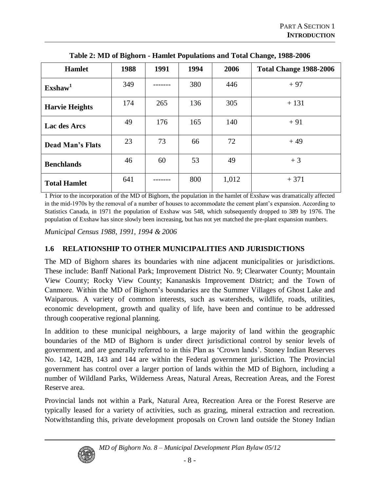| <b>Hamlet</b>           | 1988 | 1991 | 1994 | 2006  | <b>Total Change 1988-2006</b> |
|-------------------------|------|------|------|-------|-------------------------------|
| $\text{Exshaw}^1$       | 349  |      | 380  | 446   | $+97$                         |
| <b>Harvie Heights</b>   | 174  | 265  | 136  | 305   | $+131$                        |
| Lac des Arcs            | 49   | 176  | 165  | 140   | $+91$                         |
| <b>Dead Man's Flats</b> | 23   | 73   | 66   | 72    | $+49$                         |
| <b>Benchlands</b>       | 46   | 60   | 53   | 49    | $+3$                          |
| <b>Total Hamlet</b>     | 641  |      | 800  | 1,012 | $+371$                        |

**Table 2: MD of Bighorn - Hamlet Populations and Total Change, 1988-2006**

1 Prior to the incorporation of the MD of Bighorn, the population in the hamlet of Exshaw was dramatically affected in the mid-1970s by the removal of a number of houses to accommodate the cement plant's expansion. According to Statistics Canada, in 1971 the population of Exshaw was 548, which subsequently dropped to 389 by 1976. The population of Exshaw has since slowly been increasing, but has not yet matched the pre-plant expansion numbers.

*Municipal Census 1988, 1991, 1994 & 2006*

#### **1.6 RELATIONSHIP TO OTHER MUNICIPALITIES AND JURISDICTIONS**

The MD of Bighorn shares its boundaries with nine adjacent municipalities or jurisdictions. These include: Banff National Park; Improvement District No. 9; Clearwater County; Mountain View County; Rocky View County; Kananaskis Improvement District; and the Town of Canmore. Within the MD of Bighorn's boundaries are the Summer Villages of Ghost Lake and Waiparous. A variety of common interests, such as watersheds, wildlife, roads, utilities, economic development, growth and quality of life, have been and continue to be addressed through cooperative regional planning.

In addition to these municipal neighbours, a large majority of land within the geographic boundaries of the MD of Bighorn is under direct jurisdictional control by senior levels of government, and are generally referred to in this Plan as 'Crown lands'. Stoney Indian Reserves No. 142, 142B, 143 and 144 are within the Federal government jurisdiction. The Provincial government has control over a larger portion of lands within the MD of Bighorn, including a number of Wildland Parks, Wilderness Areas, Natural Areas, Recreation Areas, and the Forest Reserve area.

Provincial lands not within a Park, Natural Area, Recreation Area or the Forest Reserve are typically leased for a variety of activities, such as grazing, mineral extraction and recreation. Notwithstanding this, private development proposals on Crown land outside the Stoney Indian

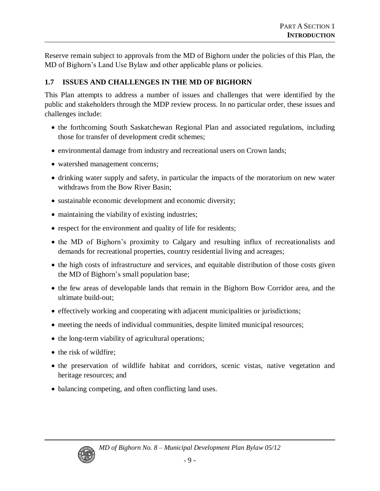Reserve remain subject to approvals from the MD of Bighorn under the policies of this Plan, the MD of Bighorn's Land Use Bylaw and other applicable plans or policies.

#### **1.7 ISSUES AND CHALLENGES IN THE MD OF BIGHORN**

This Plan attempts to address a number of issues and challenges that were identified by the public and stakeholders through the MDP review process. In no particular order, these issues and challenges include:

- the forthcoming South Saskatchewan Regional Plan and associated regulations, including those for transfer of development credit schemes;
- environmental damage from industry and recreational users on Crown lands;
- watershed management concerns;
- drinking water supply and safety, in particular the impacts of the moratorium on new water withdraws from the Bow River Basin;
- sustainable economic development and economic diversity;
- maintaining the viability of existing industries;
- respect for the environment and quality of life for residents;
- the MD of Bighorn's proximity to Calgary and resulting influx of recreationalists and demands for recreational properties, country residential living and acreages;
- the high costs of infrastructure and services, and equitable distribution of those costs given the MD of Bighorn's small population base;
- the few areas of developable lands that remain in the Bighorn Bow Corridor area, and the ultimate build-out;
- effectively working and cooperating with adjacent municipalities or jurisdictions;
- meeting the needs of individual communities, despite limited municipal resources;
- the long-term viability of agricultural operations;
- the risk of wildfire:
- the preservation of wildlife habitat and corridors, scenic vistas, native vegetation and heritage resources; and
- balancing competing, and often conflicting land uses.

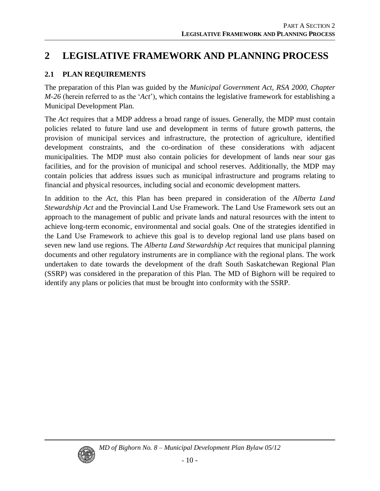### **2 LEGISLATIVE FRAMEWORK AND PLANNING PROCESS**

#### **2.1 PLAN REQUIREMENTS**

The preparation of this Plan was guided by the *Municipal Government Act, RSA 2000, Chapter*  $M-26$  (herein referred to as the ' $Act'$ ), which contains the legislative framework for establishing a Municipal Development Plan.

The *Act* requires that a MDP address a broad range of issues. Generally, the MDP must contain policies related to future land use and development in terms of future growth patterns, the provision of municipal services and infrastructure, the protection of agriculture, identified development constraints, and the co-ordination of these considerations with adjacent municipalities. The MDP must also contain policies for development of lands near sour gas facilities, and for the provision of municipal and school reserves. Additionally, the MDP may contain policies that address issues such as municipal infrastructure and programs relating to financial and physical resources, including social and economic development matters.

In addition to the *Act*, this Plan has been prepared in consideration of the *Alberta Land Stewardship Act* and the Provincial Land Use Framework. The Land Use Framework sets out an approach to the management of public and private lands and natural resources with the intent to achieve long-term economic, environmental and social goals. One of the strategies identified in the Land Use Framework to achieve this goal is to develop regional land use plans based on seven new land use regions. The *Alberta Land Stewardship Act* requires that municipal planning documents and other regulatory instruments are in compliance with the regional plans. The work undertaken to date towards the development of the draft South Saskatchewan Regional Plan (SSRP) was considered in the preparation of this Plan. The MD of Bighorn will be required to identify any plans or policies that must be brought into conformity with the SSRP.

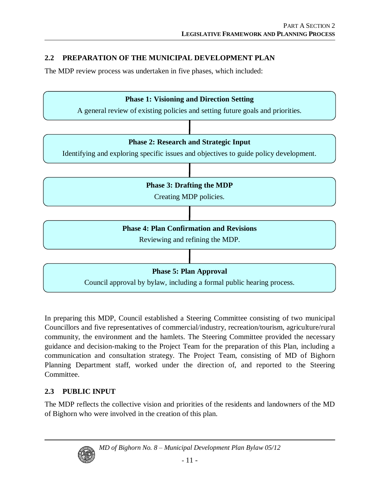### **2.2 PREPARATION OF THE MUNICIPAL DEVELOPMENT PLAN**

The MDP review process was undertaken in five phases, which included:



In preparing this MDP, Council established a Steering Committee consisting of two municipal Councillors and five representatives of commercial/industry, recreation/tourism, agriculture/rural community, the environment and the hamlets. The Steering Committee provided the necessary guidance and decision-making to the Project Team for the preparation of this Plan, including a communication and consultation strategy. The Project Team, consisting of MD of Bighorn Planning Department staff, worked under the direction of, and reported to the Steering Committee.

#### **2.3 PUBLIC INPUT**

The MDP reflects the collective vision and priorities of the residents and landowners of the MD of Bighorn who were involved in the creation of this plan.



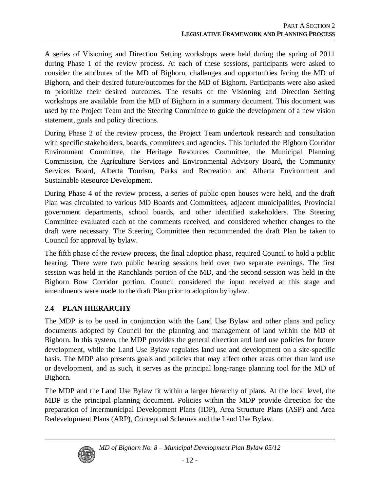A series of Visioning and Direction Setting workshops were held during the spring of 2011 during Phase 1 of the review process. At each of these sessions, participants were asked to consider the attributes of the MD of Bighorn, challenges and opportunities facing the MD of Bighorn, and their desired future/outcomes for the MD of Bighorn. Participants were also asked to prioritize their desired outcomes. The results of the Visioning and Direction Setting workshops are available from the MD of Bighorn in a summary document. This document was used by the Project Team and the Steering Committee to guide the development of a new vision statement, goals and policy directions.

During Phase 2 of the review process, the Project Team undertook research and consultation with specific stakeholders, boards, committees and agencies. This included the Bighorn Corridor Environment Committee, the Heritage Resources Committee, the Municipal Planning Commission, the Agriculture Services and Environmental Advisory Board, the Community Services Board, Alberta Tourism, Parks and Recreation and Alberta Environment and Sustainable Resource Development.

During Phase 4 of the review process, a series of public open houses were held, and the draft Plan was circulated to various MD Boards and Committees, adjacent municipalities, Provincial government departments, school boards, and other identified stakeholders. The Steering Committee evaluated each of the comments received, and considered whether changes to the draft were necessary. The Steering Committee then recommended the draft Plan be taken to Council for approval by bylaw.

The fifth phase of the review process, the final adoption phase, required Council to hold a public hearing. There were two public hearing sessions held over two separate evenings. The first session was held in the Ranchlands portion of the MD, and the second session was held in the Bighorn Bow Corridor portion. Council considered the input received at this stage and amendments were made to the draft Plan prior to adoption by bylaw.

#### **2.4 PLAN HIERARCHY**

The MDP is to be used in conjunction with the Land Use Bylaw and other plans and policy documents adopted by Council for the planning and management of land within the MD of Bighorn. In this system, the MDP provides the general direction and land use policies for future development, while the Land Use Bylaw regulates land use and development on a site-specific basis. The MDP also presents goals and policies that may affect other areas other than land use or development, and as such, it serves as the principal long-range planning tool for the MD of Bighorn.

The MDP and the Land Use Bylaw fit within a larger hierarchy of plans. At the local level, the MDP is the principal planning document. Policies within the MDP provide direction for the preparation of Intermunicipal Development Plans (IDP), Area Structure Plans (ASP) and Area Redevelopment Plans (ARP), Conceptual Schemes and the Land Use Bylaw.



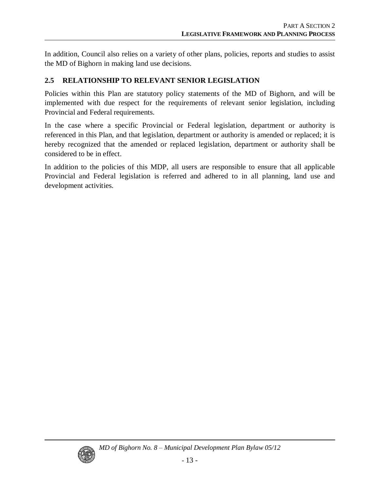In addition, Council also relies on a variety of other plans, policies, reports and studies to assist the MD of Bighorn in making land use decisions.

#### **2.5 RELATIONSHIP TO RELEVANT SENIOR LEGISLATION**

Policies within this Plan are statutory policy statements of the MD of Bighorn, and will be implemented with due respect for the requirements of relevant senior legislation, including Provincial and Federal requirements.

In the case where a specific Provincial or Federal legislation, department or authority is referenced in this Plan, and that legislation, department or authority is amended or replaced; it is hereby recognized that the amended or replaced legislation, department or authority shall be considered to be in effect.

In addition to the policies of this MDP, all users are responsible to ensure that all applicable Provincial and Federal legislation is referred and adhered to in all planning, land use and development activities.

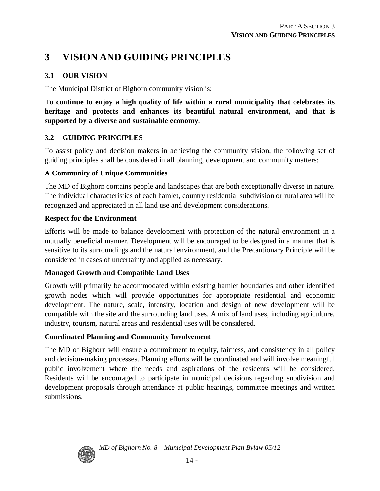### **3 VISION AND GUIDING PRINCIPLES**

#### **3.1 OUR VISION**

The Municipal District of Bighorn community vision is:

**To continue to enjoy a high quality of life within a rural municipality that celebrates its heritage and protects and enhances its beautiful natural environment, and that is supported by a diverse and sustainable economy.**

#### **3.2 GUIDING PRINCIPLES**

To assist policy and decision makers in achieving the community vision, the following set of guiding principles shall be considered in all planning, development and community matters:

#### **A Community of Unique Communities**

The MD of Bighorn contains people and landscapes that are both exceptionally diverse in nature. The individual characteristics of each hamlet, country residential subdivision or rural area will be recognized and appreciated in all land use and development considerations.

#### **Respect for the Environment**

Efforts will be made to balance development with protection of the natural environment in a mutually beneficial manner. Development will be encouraged to be designed in a manner that is sensitive to its surroundings and the natural environment, and the Precautionary Principle will be considered in cases of uncertainty and applied as necessary.

#### **Managed Growth and Compatible Land Uses**

Growth will primarily be accommodated within existing hamlet boundaries and other identified growth nodes which will provide opportunities for appropriate residential and economic development. The nature, scale, intensity, location and design of new development will be compatible with the site and the surrounding land uses. A mix of land uses, including agriculture, industry, tourism, natural areas and residential uses will be considered.

#### **Coordinated Planning and Community Involvement**

The MD of Bighorn will ensure a commitment to equity, fairness, and consistency in all policy and decision-making processes. Planning efforts will be coordinated and will involve meaningful public involvement where the needs and aspirations of the residents will be considered. Residents will be encouraged to participate in municipal decisions regarding subdivision and development proposals through attendance at public hearings, committee meetings and written submissions.

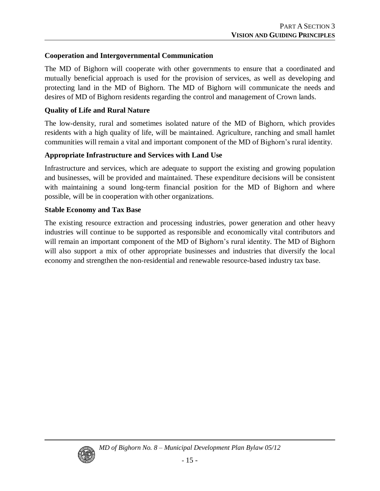#### **Cooperation and Intergovernmental Communication**

The MD of Bighorn will cooperate with other governments to ensure that a coordinated and mutually beneficial approach is used for the provision of services, as well as developing and protecting land in the MD of Bighorn. The MD of Bighorn will communicate the needs and desires of MD of Bighorn residents regarding the control and management of Crown lands.

#### **Quality of Life and Rural Nature**

The low-density, rural and sometimes isolated nature of the MD of Bighorn, which provides residents with a high quality of life, will be maintained. Agriculture, ranching and small hamlet communities will remain a vital and important component of the MD of Bighorn's rural identity.

#### **Appropriate Infrastructure and Services with Land Use**

Infrastructure and services, which are adequate to support the existing and growing population and businesses, will be provided and maintained. These expenditure decisions will be consistent with maintaining a sound long-term financial position for the MD of Bighorn and where possible, will be in cooperation with other organizations.

#### **Stable Economy and Tax Base**

The existing resource extraction and processing industries, power generation and other heavy industries will continue to be supported as responsible and economically vital contributors and will remain an important component of the MD of Bighorn's rural identity. The MD of Bighorn will also support a mix of other appropriate businesses and industries that diversify the local economy and strengthen the non-residential and renewable resource-based industry tax base.

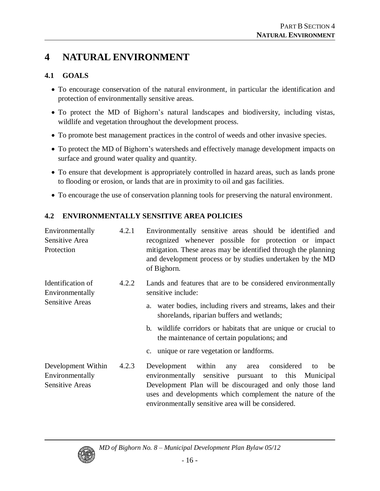### **4 NATURAL ENVIRONMENT**

#### **4.1 GOALS**

- To encourage conservation of the natural environment, in particular the identification and protection of environmentally sensitive areas.
- To protect the MD of Bighorn's natural landscapes and biodiversity, including vistas, wildlife and vegetation throughout the development process.
- To promote best management practices in the control of weeds and other invasive species.
- To protect the MD of Bighorn's watersheds and effectively manage development impacts on surface and ground water quality and quantity.
- To ensure that development is appropriately controlled in hazard areas, such as lands prone to flooding or erosion, or lands that are in proximity to oil and gas facilities.
- To encourage the use of conservation planning tools for preserving the natural environment.

#### **4.2 ENVIRONMENTALLY SENSITIVE AREA POLICIES**

| Environmentally<br>Sensitive Area<br>Protection                 | 4.2.1 | Environmentally sensitive areas should be identified and<br>recognized whenever possible for protection or impact<br>mitigation. These areas may be identified through the planning<br>and development process or by studies undertaken by the MD<br>of Bighorn.                               |
|-----------------------------------------------------------------|-------|------------------------------------------------------------------------------------------------------------------------------------------------------------------------------------------------------------------------------------------------------------------------------------------------|
| Identification of<br>Environmentally<br><b>Sensitive Areas</b>  | 4.2.2 | Lands and features that are to be considered environmentally<br>sensitive include:                                                                                                                                                                                                             |
|                                                                 |       | a. water bodies, including rivers and streams, lakes and their<br>shorelands, riparian buffers and wetlands;                                                                                                                                                                                   |
|                                                                 |       | b. wildlife corridors or habitats that are unique or crucial to<br>the maintenance of certain populations; and                                                                                                                                                                                 |
|                                                                 |       | c. unique or rare vegetation or landforms.                                                                                                                                                                                                                                                     |
| Development Within<br>Environmentally<br><b>Sensitive Areas</b> | 4.2.3 | within any<br>area considered<br>Development<br>be<br>to<br>environmentally sensitive pursuant to this Municipal<br>Development Plan will be discouraged and only those land<br>uses and developments which complement the nature of the<br>environmentally sensitive area will be considered. |



*MD of Bighorn No. 8 –Municipal Development Plan Bylaw 05/12*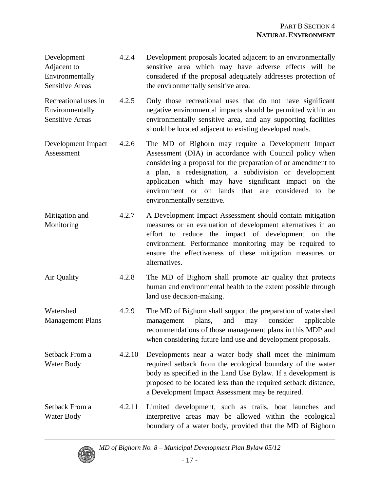- Development Adjacent to Environmentally Sensitive Areas 4.2.4 Development proposals located adjacent to an environmentally sensitive area which may have adverse effects will be considered if the proposal adequately addresses protection of the environmentally sensitive area.
- Recreational uses in Environmentally Sensitive Areas 4.2.5 Only those recreational uses that do not have significant negative environmental impacts should be permitted within an environmentally sensitive area, and any supporting facilities should be located adjacent to existing developed roads.
- Development Impact Assessment 4.2.6 The MD of Bighorn may require a Development Impact Assessment (DIA) in accordance with Council policy when considering a proposal for the preparation of or amendment to a plan, a redesignation, a subdivision or development application which may have significant impact on the environment or on lands that are considered to be environmentally sensitive.
- Mitigation and Monitoring 4.2.7 A Development Impact Assessment should contain mitigation measures or an evaluation of development alternatives in an effort to reduce the impact of development on the environment. Performance monitoring may be required to ensure the effectiveness of these mitigation measures or alternatives.
- Air Quality 4.2.8 The MD of Bighorn shall promote air quality that protects human and environmental health to the extent possible through land use decision-making.
- Watershed Management Plans 4.2.9 The MD of Bighorn shall support the preparation of watershed management plans, and may consider applicable recommendations of those management plans in this MDP and when considering future land use and development proposals.
- Setback From a Water Body 4.2.10 Developments near a water body shall meet the minimum required setback from the ecological boundary of the water body as specified in the Land Use Bylaw. If a development is proposed to be located less than the required setback distance, a Development Impact Assessment may be required.
- Setback From a Water Body 4.2.11 Limited development, such as trails, boat launches and interpretive areas may be allowed within the ecological boundary of a water body, provided that the MD of Bighorn



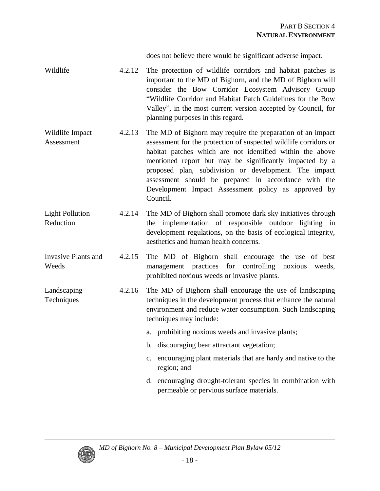does not believe there would be significant adverse impact.

- Wildlife 4.2.12 The protection of wildlife corridors and habitat patches is important to the MD of Bighorn, and the MD of Bighorn will consider the Bow Corridor Ecosystem Advisory Group "Wildlife Corridor and Habitat Patch Guidelines for the Bow Valley", in the most current version accepted by Council, for planning purposes in this regard.
- Wildlife Impact Assessment 4.2.13 The MD of Bighorn may require the preparation of an impact assessment for the protection of suspected wildlife corridors or habitat patches which are not identified within the above mentioned report but may be significantly impacted by a proposed plan, subdivision or development. The impact assessment should be prepared in accordance with the Development Impact Assessment policy as approved by Council.
- Light Pollution Reduction 4.2.14 The MD of Bighorn shall promote dark sky initiatives through the implementation of responsible outdoor lighting in development regulations, on the basis of ecological integrity, aesthetics and human health concerns.
- Invasive Plants and Weeds 4.2.15 The MD of Bighorn shall encourage the use of best management practices for controlling noxious weeds, prohibited noxious weeds or invasive plants.
- Landscaping **Techniques** 4.2.16 The MD of Bighorn shall encourage the use of landscaping techniques in the development process that enhance the natural environment and reduce water consumption. Such landscaping techniques may include:
	- a. prohibiting noxious weeds and invasive plants;
	- b. discouraging bear attractant vegetation;
	- c. encouraging plant materials that are hardy and native to the region; and
	- d. encouraging drought-tolerant species in combination with permeable or pervious surface materials.



*MD of Bighorn No. 8 –Municipal Development Plan Bylaw 05/12*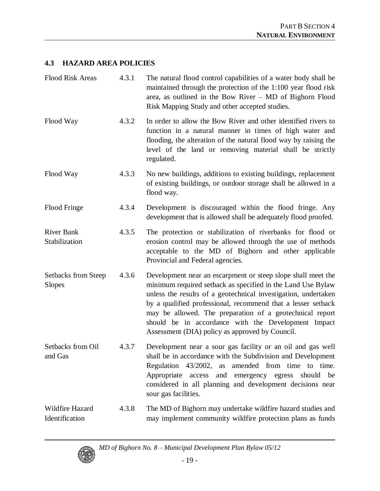#### **4.3 HAZARD AREA POLICIES**

| <b>Flood Risk Areas</b>              | 4.3.1 | The natural flood control capabilities of a water body shall be<br>maintained through the protection of the 1:100 year flood risk<br>area, as outlined in the Bow River - MD of Bighorn Flood<br>Risk Mapping Study and other accepted studies.                                                                                                                                                                                     |
|--------------------------------------|-------|-------------------------------------------------------------------------------------------------------------------------------------------------------------------------------------------------------------------------------------------------------------------------------------------------------------------------------------------------------------------------------------------------------------------------------------|
| Flood Way                            | 4.3.2 | In order to allow the Bow River and other identified rivers to<br>function in a natural manner in times of high water and<br>flooding, the alteration of the natural flood way by raising the<br>level of the land or removing material shall be strictly<br>regulated.                                                                                                                                                             |
| Flood Way                            | 4.3.3 | No new buildings, additions to existing buildings, replacement<br>of existing buildings, or outdoor storage shall be allowed in a<br>flood way.                                                                                                                                                                                                                                                                                     |
| Flood Fringe                         | 4.3.4 | Development is discouraged within the flood fringe. Any<br>development that is allowed shall be adequately flood proofed.                                                                                                                                                                                                                                                                                                           |
| <b>River Bank</b><br>Stabilization   | 4.3.5 | The protection or stabilization of riverbanks for flood or<br>erosion control may be allowed through the use of methods<br>acceptable to the MD of Bighorn and other applicable<br>Provincial and Federal agencies.                                                                                                                                                                                                                 |
| Setbacks from Steep<br><b>Slopes</b> | 4.3.6 | Development near an escarpment or steep slope shall meet the<br>minimum required setback as specified in the Land Use Bylaw<br>unless the results of a geotechnical investigation, undertaken<br>by a qualified professional, recommend that a lesser setback<br>may be allowed. The preparation of a geotechnical report<br>should be in accordance with the Development Impact<br>Assessment (DIA) policy as approved by Council. |
| Setbacks from Oil<br>and Gas         | 4.3.7 | Development near a sour gas facility or an oil and gas well<br>shall be in accordance with the Subdivision and Development<br>amended from time to time.<br>Regulation 43/2002,<br>as<br>Appropriate<br>emergency egress should<br>access<br>and<br>be<br>considered in all planning and development decisions near<br>sour gas facilities.                                                                                         |
| Wildfire Hazard<br>Identification    | 4.3.8 | The MD of Bighorn may undertake wildfire hazard studies and<br>may implement community wildfire protection plans as funds                                                                                                                                                                                                                                                                                                           |

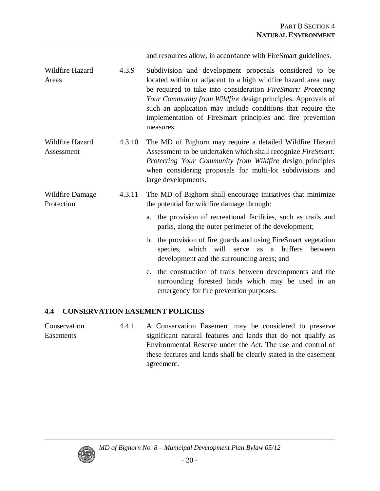and resources allow, in accordance with FireSmart guidelines.

- Wildfire Hazard Areas 4.3.9 Subdivision and development proposals considered to be located within or adjacent to a high wildfire hazard area may be required to take into consideration *FireSmart: Protecting Your Community from Wildfire* design principles. Approvals of such an application may include conditions that require the implementation of FireSmart principles and fire prevention measures.
- Wildfire Hazard Assessment 4.3.10 The MD of Bighorn may require a detailed Wildfire Hazard Assessment to be undertaken which shall recognize *FireSmart: Protecting Your Community from Wildfire* design principles when considering proposals for multi-lot subdivisions and large developments.

#### Wildfire Damage Protection 4.3.11 The MD of Bighorn shall encourage initiatives that minimize the potential for wildfire damage through:

- a. the provision of recreational facilities, such as trails and parks, along the outer perimeter of the development;
- b. the provision of fire guards and using FireSmart vegetation species, which will serve as a buffers between development and the surrounding areas; and
- c. the construction of trails between developments and the surrounding forested lands which may be used in an emergency for fire prevention purposes.

#### **4.4 CONSERVATION EASEMENT POLICIES**

**Conservation** Easements 4.4.1 A Conservation Easement may be considered to preserve significant natural features and lands that do not qualify as Environmental Reserve under the *Act*. The use and control of these features and lands shall be clearly stated in the easement agreement.

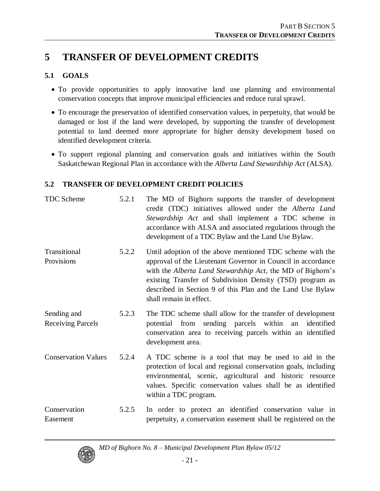### **5 TRANSFER OF DEVELOPMENT CREDITS**

#### **5.1 GOALS**

- To provide opportunities to apply innovative land use planning and environmental conservation concepts that improve municipal efficiencies and reduce rural sprawl.
- To encourage the preservation of identified conservation values, in perpetuity, that would be damaged or lost if the land were developed, by supporting the transfer of development potential to land deemed more appropriate for higher density development based on identified development criteria.
- To support regional planning and conservation goals and initiatives within the South Saskatchewan Regional Plan in accordance with the *Alberta Land Stewardship Act* (ALSA).

#### **5.2 TRANSFER OF DEVELOPMENT CREDIT POLICIES**

| <b>TDC</b> Scheme                       | 5.2.1 | The MD of Bighorn supports the transfer of development<br>credit (TDC) initiatives allowed under the Alberta Land<br>Stewardship Act and shall implement a TDC scheme in<br>accordance with ALSA and associated regulations through the<br>development of a TDC Bylaw and the Land Use Bylaw.                                                 |
|-----------------------------------------|-------|-----------------------------------------------------------------------------------------------------------------------------------------------------------------------------------------------------------------------------------------------------------------------------------------------------------------------------------------------|
| Transitional<br>Provisions              | 5.2.2 | Until adoption of the above mentioned TDC scheme with the<br>approval of the Lieutenant Governor in Council in accordance<br>with the Alberta Land Stewardship Act, the MD of Bighorn's<br>existing Transfer of Subdivision Density (TSD) program as<br>described in Section 9 of this Plan and the Land Use Bylaw<br>shall remain in effect. |
| Sending and<br><b>Receiving Parcels</b> | 5.2.3 | The TDC scheme shall allow for the transfer of development<br>potential from sending parcels within an<br>identified<br>conservation area to receiving parcels within an identified<br>development area.                                                                                                                                      |
| <b>Conservation Values</b>              | 5.2.4 | A TDC scheme is a tool that may be used to aid in the<br>protection of local and regional conservation goals, including<br>environmental, scenic, agricultural and historic resource<br>values. Specific conservation values shall be as identified<br>within a TDC program.                                                                  |
| Conservation<br>Easement                | 5.2.5 | In order to protect an identified conservation value in<br>perpetuity, a conservation easement shall be registered on the                                                                                                                                                                                                                     |

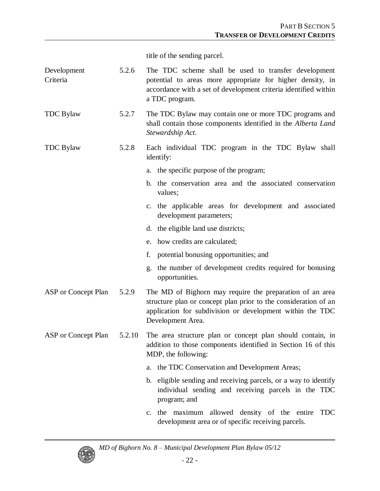title of the sending parcel.

| Development<br>Criteria | 5.2.6  | The TDC scheme shall be used to transfer development<br>potential to areas more appropriate for higher density, in<br>accordance with a set of development criteria identified within<br>a TDC program.       |
|-------------------------|--------|---------------------------------------------------------------------------------------------------------------------------------------------------------------------------------------------------------------|
| <b>TDC</b> Bylaw        | 5.2.7  | The TDC Bylaw may contain one or more TDC programs and<br>shall contain those components identified in the Alberta Land<br>Stewardship Act.                                                                   |
| <b>TDC</b> Bylaw        | 5.2.8  | Each individual TDC program in the TDC Bylaw shall<br>identify:                                                                                                                                               |
|                         |        | a. the specific purpose of the program;                                                                                                                                                                       |
|                         |        | b. the conservation area and the associated conservation<br>values;                                                                                                                                           |
|                         |        | c. the applicable areas for development and associated<br>development parameters;                                                                                                                             |
|                         |        | d. the eligible land use districts;                                                                                                                                                                           |
|                         |        | e. how credits are calculated;                                                                                                                                                                                |
|                         |        | potential bonusing opportunities; and<br>f.                                                                                                                                                                   |
|                         |        | the number of development credits required for bonusing<br>g.<br>opportunities.                                                                                                                               |
| ASP or Concept Plan     | 5.2.9  | The MD of Bighorn may require the preparation of an area<br>structure plan or concept plan prior to the consideration of an<br>application for subdivision or development within the TDC<br>Development Area. |
| ASP or Concept Plan     | 5.2.10 | The area structure plan or concept plan should contain, in<br>addition to those components identified in Section 16 of this<br>MDP, the following:                                                            |
|                         |        | the TDC Conservation and Development Areas;<br>a.                                                                                                                                                             |
|                         |        | b. eligible sending and receiving parcels, or a way to identify<br>individual sending and receiving parcels in the TDC<br>program; and                                                                        |
|                         |        | c. the maximum allowed density of the entire TDC<br>development area or of specific receiving parcels.                                                                                                        |



*MD of Bighorn No. 8 –Municipal Development Plan Bylaw 05/12*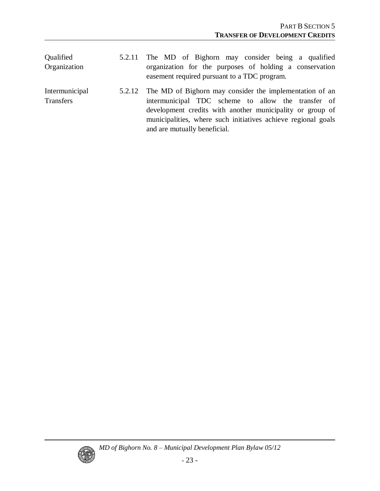| Qualified<br>Organization          | 5.2.11 The MD of Bighorn may consider being a qualified<br>organization for the purposes of holding a conservation<br>easement required pursuant to a TDC program.                                                                                                                 |
|------------------------------------|------------------------------------------------------------------------------------------------------------------------------------------------------------------------------------------------------------------------------------------------------------------------------------|
| Intermunicipal<br><b>Transfers</b> | 5.2.12 The MD of Bighorn may consider the implementation of an<br>intermunicipal TDC scheme to allow the transfer of<br>development credits with another municipality or group of<br>municipalities, where such initiatives achieve regional goals<br>and are mutually beneficial. |

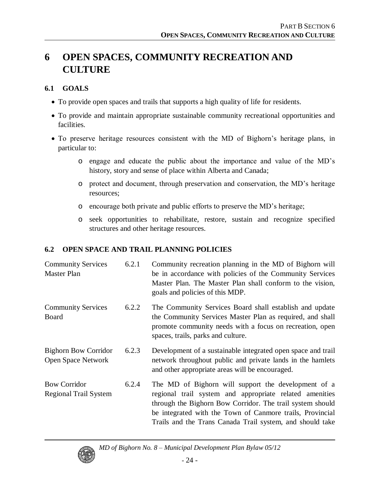# **6 OPEN SPACES, COMMUNITY RECREATION AND CULTURE**

#### **6.1 GOALS**

- To provide open spaces and trails that supports a high quality of life for residents.
- To provide and maintain appropriate sustainable community recreational opportunities and facilities.
- To preserve heritage resources consistent with the MD of Bighorn's heritage plans, in particular to:
	- o engage and educate the public about the importance and value of the MD's history, story and sense of place within Alberta and Canada;
	- o protect and document, through preservation and conservation, the MD's heritage resources;
	- o encourage both private and public efforts to preserve the MD's heritage;
	- o seek opportunities to rehabilitate, restore, sustain and recognize specified structures and other heritage resources.

#### **6.2 OPEN SPACE AND TRAIL PLANNING POLICIES**

| <b>Community Services</b><br>Master Plan                 | 6.2.1 | Community recreation planning in the MD of Bighorn will<br>be in accordance with policies of the Community Services<br>Master Plan. The Master Plan shall conform to the vision,<br>goals and policies of this MDP.                                                                                   |
|----------------------------------------------------------|-------|-------------------------------------------------------------------------------------------------------------------------------------------------------------------------------------------------------------------------------------------------------------------------------------------------------|
| <b>Community Services</b><br>Board                       | 6.2.2 | The Community Services Board shall establish and update<br>the Community Services Master Plan as required, and shall<br>promote community needs with a focus on recreation, open<br>spaces, trails, parks and culture.                                                                                |
| <b>Bighorn Bow Corridor</b><br><b>Open Space Network</b> | 6.2.3 | Development of a sustainable integrated open space and trail<br>network throughout public and private lands in the hamlets<br>and other appropriate areas will be encouraged.                                                                                                                         |
| <b>Bow Corridor</b><br><b>Regional Trail System</b>      | 6.2.4 | The MD of Bighorn will support the development of a<br>regional trail system and appropriate related amenities<br>through the Bighorn Bow Corridor. The trail system should<br>be integrated with the Town of Canmore trails, Provincial<br>Trails and the Trans Canada Trail system, and should take |

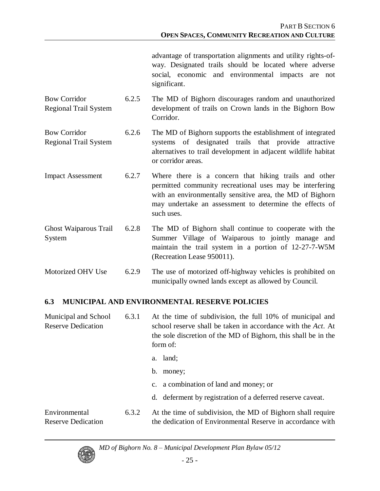advantage of transportation alignments and utility rights-ofway. Designated trails should be located where adverse social, economic and environmental impacts are not significant.

- Bow Corridor Regional Trail System 6.2.5 The MD of Bighorn discourages random and unauthorized development of trails on Crown lands in the Bighorn Bow Corridor.
- Bow Corridor Regional Trail System 6.2.6 The MD of Bighorn supports the establishment of integrated systems of designated trails that provide attractive alternatives to trail development in adjacent wildlife habitat or corridor areas.
- Impact Assessment 6.2.7 Where there is a concern that hiking trails and other permitted community recreational uses may be interfering with an environmentally sensitive area, the MD of Bighorn may undertake an assessment to determine the effects of such uses.
- Ghost Waiparous Trail System 6.2.8 The MD of Bighorn shall continue to cooperate with the Summer Village of Waiparous to jointly manage and maintain the trail system in a portion of 12-27-7-W5M (Recreation Lease 950011).

Motorized OHV Use 6.2.9 The use of motorized off-highway vehicles is prohibited on municipally owned lands except as allowed by Council.

#### **6.3 MUNICIPAL AND ENVIRONMENTAL RESERVE POLICIES**

| Municipal and School<br><b>Reserve Dedication</b> | 6.3.1 | At the time of subdivision, the full 10% of municipal and<br>school reserve shall be taken in accordance with the Act. At<br>the sole discretion of the MD of Bighorn, this shall be in the<br>form of: |
|---------------------------------------------------|-------|---------------------------------------------------------------------------------------------------------------------------------------------------------------------------------------------------------|
|                                                   |       | a. land;<br>b.<br>money;                                                                                                                                                                                |
|                                                   |       | c. a combination of land and money; or<br>d. deferment by registration of a deferred reserve caveat.                                                                                                    |
| Environmental<br><b>Reserve Dedication</b>        | 6.3.2 | At the time of subdivision, the MD of Bighorn shall require<br>the dedication of Environmental Reserve in accordance with                                                                               |

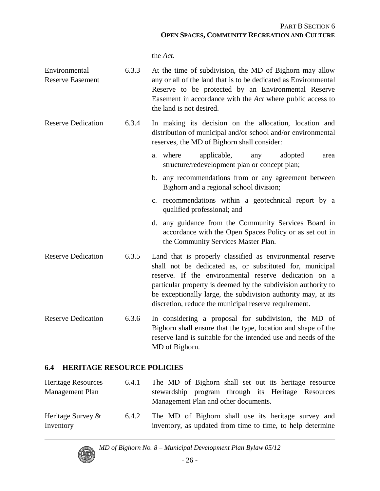the *Act*.

| Environmental<br><b>Reserve Easement</b> | 6.3.3 | At the time of subdivision, the MD of Bighorn may allow<br>any or all of the land that is to be dedicated as Environmental<br>Reserve to be protected by an Environmental Reserve<br>Easement in accordance with the Act where public access to<br>the land is not desired.                                                                                               |
|------------------------------------------|-------|---------------------------------------------------------------------------------------------------------------------------------------------------------------------------------------------------------------------------------------------------------------------------------------------------------------------------------------------------------------------------|
| <b>Reserve Dedication</b>                | 6.3.4 | In making its decision on the allocation, location and<br>distribution of municipal and/or school and/or environmental<br>reserves, the MD of Bighorn shall consider:                                                                                                                                                                                                     |
|                                          |       | a. where<br>applicable,<br>adopted<br>any<br>area<br>structure/redevelopment plan or concept plan;                                                                                                                                                                                                                                                                        |
|                                          |       | b. any recommendations from or any agreement between<br>Bighorn and a regional school division;                                                                                                                                                                                                                                                                           |
|                                          |       | c. recommendations within a geotechnical report by a<br>qualified professional; and                                                                                                                                                                                                                                                                                       |
|                                          |       | d. any guidance from the Community Services Board in<br>accordance with the Open Spaces Policy or as set out in<br>the Community Services Master Plan.                                                                                                                                                                                                                    |
| <b>Reserve Dedication</b>                | 6.3.5 | Land that is properly classified as environmental reserve<br>shall not be dedicated as, or substituted for, municipal<br>reserve. If the environmental reserve dedication on a<br>particular property is deemed by the subdivision authority to<br>be exceptionally large, the subdivision authority may, at its<br>discretion, reduce the municipal reserve requirement. |
| <b>Reserve Dedication</b>                | 6.3.6 | In considering a proposal for subdivision, the MD of<br>Bighorn shall ensure that the type, location and shape of the<br>reserve land is suitable for the intended use and needs of the<br>MD of Bighorn.                                                                                                                                                                 |

#### **6.4 HERITAGE RESOURCE POLICIES**

Heritage Resources Management Plan 6.4.1 The MD of Bighorn shall set out its heritage resource stewardship program through its Heritage Resources Management Plan and other documents. Heritage Survey & Inventory 6.4.2 The MD of Bighorn shall use its heritage survey and inventory, as updated from time to time, to help determine

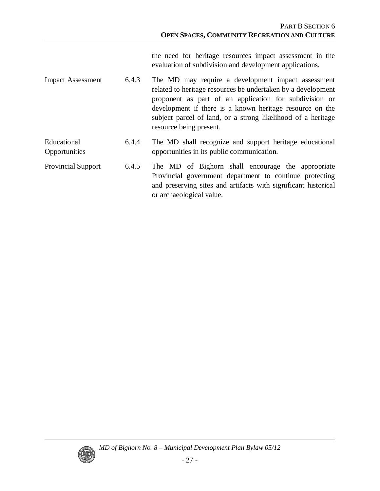the need for heritage resources impact assessment in the evaluation of subdivision and development applications.

- Impact Assessment 6.4.3 The MD may require a development impact assessment related to heritage resources be undertaken by a development proponent as part of an application for subdivision or development if there is a known heritage resource on the subject parcel of land, or a strong likelihood of a heritage resource being present.
- Educational **Opportunities** 6.4.4 The MD shall recognize and support heritage educational opportunities in its public communication.
- Provincial Support 6.4.5 The MD of Bighorn shall encourage the appropriate Provincial government department to continue protecting and preserving sites and artifacts with significant historical or archaeological value.

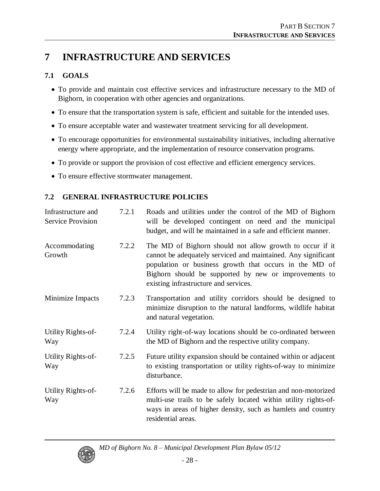# **7 INFRASTRUCTURE AND SERVICES**

#### **7.1 GOALS**

- To provide and maintain cost effective services and infrastructure necessary to the MD of Bighorn, in cooperation with other agencies and organizations.
- To ensure that the transportation system is safe, efficient and suitable for the intended uses.
- To ensure acceptable water and wastewater treatment servicing for all development.
- To encourage opportunities for environmental sustainability initiatives, including alternative energy where appropriate, and the implementation of resource conservation programs.
- To provide or support the provision of cost effective and efficient emergency services.
- To ensure effective stormwater management.

#### **7.2 GENERAL INFRASTRUCTURE POLICIES**

| Infrastructure and<br><b>Service Provision</b> | 7.2.1 | Roads and utilities under the control of the MD of Bighorn<br>will be developed contingent on need and the municipal<br>budget, and will be maintained in a safe and efficient manner.                                                                                                |
|------------------------------------------------|-------|---------------------------------------------------------------------------------------------------------------------------------------------------------------------------------------------------------------------------------------------------------------------------------------|
| Accommodating<br>Growth                        | 7.2.2 | The MD of Bighorn should not allow growth to occur if it<br>cannot be adequately serviced and maintained. Any significant<br>population or business growth that occurs in the MD of<br>Bighorn should be supported by new or improvements to<br>existing infrastructure and services. |
| Minimize Impacts                               | 7.2.3 | Transportation and utility corridors should be designed to<br>minimize disruption to the natural landforms, wildlife habitat<br>and natural vegetation.                                                                                                                               |
| Utility Rights-of-<br>Way                      | 7.2.4 | Utility right-of-way locations should be co-ordinated between<br>the MD of Bighorn and the respective utility company.                                                                                                                                                                |
| Utility Rights-of-<br>Way                      | 7.2.5 | Future utility expansion should be contained within or adjacent<br>to existing transportation or utility rights-of-way to minimize<br>disturbance.                                                                                                                                    |
| Utility Rights-of-<br>Way                      | 7.2.6 | Efforts will be made to allow for pedestrian and non-motorized<br>multi-use trails to be safely located within utility rights-of-<br>ways in areas of higher density, such as hamlets and country<br>residential areas.                                                               |

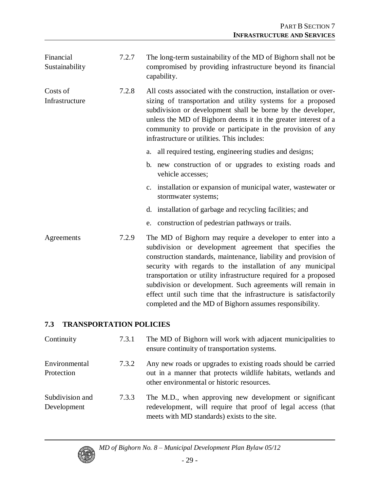| Financial<br>Sustainability | 7.2.7 | The long-term sustainability of the MD of Bighorn shall not be<br>compromised by providing infrastructure beyond its financial<br>capability.                                                                                                                                                                                                                                                                                                                                                                          |
|-----------------------------|-------|------------------------------------------------------------------------------------------------------------------------------------------------------------------------------------------------------------------------------------------------------------------------------------------------------------------------------------------------------------------------------------------------------------------------------------------------------------------------------------------------------------------------|
| Costs of<br>Infrastructure  | 7.2.8 | All costs associated with the construction, installation or over-<br>sizing of transportation and utility systems for a proposed<br>subdivision or development shall be borne by the developer,<br>unless the MD of Bighorn deems it in the greater interest of a<br>community to provide or participate in the provision of any<br>infrastructure or utilities. This includes:                                                                                                                                        |
|                             |       | a. all required testing, engineering studies and designs;                                                                                                                                                                                                                                                                                                                                                                                                                                                              |
|                             |       | b. new construction of or upgrades to existing roads and<br>vehicle accesses;                                                                                                                                                                                                                                                                                                                                                                                                                                          |
|                             |       | c. installation or expansion of municipal water, wastewater or<br>stormwater systems;                                                                                                                                                                                                                                                                                                                                                                                                                                  |
|                             |       | d. installation of garbage and recycling facilities; and                                                                                                                                                                                                                                                                                                                                                                                                                                                               |
|                             |       | e. construction of pedestrian pathways or trails.                                                                                                                                                                                                                                                                                                                                                                                                                                                                      |
| Agreements                  | 7.2.9 | The MD of Bighorn may require a developer to enter into a<br>subdivision or development agreement that specifies the<br>construction standards, maintenance, liability and provision of<br>security with regards to the installation of any municipal<br>transportation or utility infrastructure required for a proposed<br>subdivision or development. Such agreements will remain in<br>effect until such time that the infrastructure is satisfactorily<br>completed and the MD of Bighorn assumes responsibility. |

#### **7.3 TRANSPORTATION POLICIES**

| Continuity                     | 7.3.1 | The MD of Bighorn will work with adjacent municipalities to<br>ensure continuity of transportation systems.                                                                  |
|--------------------------------|-------|------------------------------------------------------------------------------------------------------------------------------------------------------------------------------|
| Environmental<br>Protection    | 7.3.2 | Any new roads or upgrades to existing roads should be carried<br>out in a manner that protects wildlife habitats, wetlands and<br>other environmental or historic resources. |
| Subdivision and<br>Development | 7.3.3 | The M.D., when approving new development or significant<br>redevelopment, will require that proof of legal access (that<br>meets with MD standards) exists to the site.      |

*MD of Bighorn No. 8 –Municipal Development Plan Bylaw 05/12*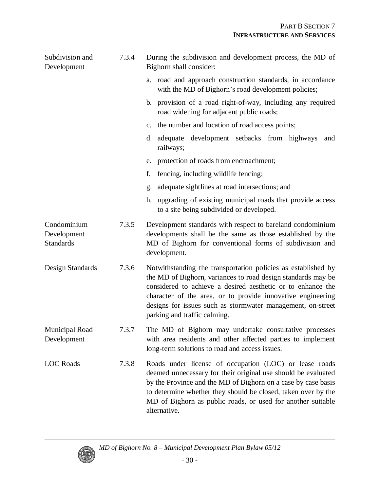| Subdivision and<br>Development                 | 7.3.4 | During the subdivision and development process, the MD of<br>Bighorn shall consider:                                                                                                                                                                                                                                                                       |
|------------------------------------------------|-------|------------------------------------------------------------------------------------------------------------------------------------------------------------------------------------------------------------------------------------------------------------------------------------------------------------------------------------------------------------|
|                                                |       | a. road and approach construction standards, in accordance<br>with the MD of Bighorn's road development policies;                                                                                                                                                                                                                                          |
|                                                |       | b. provision of a road right-of-way, including any required<br>road widening for adjacent public roads;                                                                                                                                                                                                                                                    |
|                                                |       | c. the number and location of road access points;                                                                                                                                                                                                                                                                                                          |
|                                                |       | adequate development setbacks from highways<br>d.<br>and<br>railways;                                                                                                                                                                                                                                                                                      |
|                                                |       | protection of roads from encroachment;<br>e.                                                                                                                                                                                                                                                                                                               |
|                                                |       | fencing, including wildlife fencing;<br>f.                                                                                                                                                                                                                                                                                                                 |
|                                                |       | adequate sightlines at road intersections; and<br>g.                                                                                                                                                                                                                                                                                                       |
|                                                |       | h. upgrading of existing municipal roads that provide access<br>to a site being subdivided or developed.                                                                                                                                                                                                                                                   |
| Condominium<br>Development<br><b>Standards</b> | 7.3.5 | Development standards with respect to bareland condominium<br>developments shall be the same as those established by the<br>MD of Bighorn for conventional forms of subdivision and<br>development.                                                                                                                                                        |
| Design Standards                               | 7.3.6 | Notwithstanding the transportation policies as established by<br>the MD of Bighorn, variances to road design standards may be<br>considered to achieve a desired aesthetic or to enhance the<br>character of the area, or to provide innovative engineering<br>designs for issues such as stormwater management, on-street<br>parking and traffic calming. |
| Municipal Road<br>Development                  | 7.3.7 | The MD of Bighorn may undertake consultative processes<br>with area residents and other affected parties to implement<br>long-term solutions to road and access issues.                                                                                                                                                                                    |
| <b>LOC</b> Roads                               | 7.3.8 | Roads under license of occupation (LOC) or lease roads<br>deemed unnecessary for their original use should be evaluated<br>by the Province and the MD of Bighorn on a case by case basis<br>to determine whether they should be closed, taken over by the<br>MD of Bighorn as public roads, or used for another suitable<br>alternative.                   |

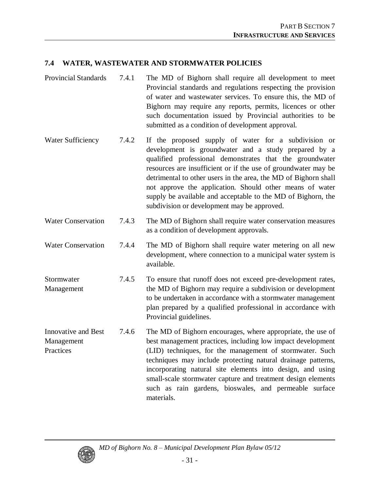#### **7.4 WATER, WASTEWATER AND STORMWATER POLICIES**

- Provincial Standards 7.4.1 The MD of Bighorn shall require all development to meet Provincial standards and regulations respecting the provision of water and wastewater services. To ensure this, the MD of Bighorn may require any reports, permits, licences or other such documentation issued by Provincial authorities to be submitted as a condition of development approval.
- Water Sufficiency 7.4.2 If the proposed supply of water for a subdivision or development is groundwater and a study prepared by a qualified professional demonstrates that the groundwater resources are insufficient or if the use of groundwater may be detrimental to other users in the area, the MD of Bighorn shall not approve the application. Should other means of water supply be available and acceptable to the MD of Bighorn, the subdivision or development may be approved.
- Water Conservation 7.4.3 The MD of Bighorn shall require water conservation measures as a condition of development approvals.
- Water Conservation 7.4.4 The MD of Bighorn shall require water metering on all new development, where connection to a municipal water system is available.
- Stormwater Management 7.4.5 To ensure that runoff does not exceed pre-development rates, the MD of Bighorn may require a subdivision or development to be undertaken in accordance with a stormwater management plan prepared by a qualified professional in accordance with Provincial guidelines.
- Innovative and Best Management **Practices** 7.4.6 The MD of Bighorn encourages, where appropriate, the use of best management practices, including low impact development (LID) techniques, for the management of stormwater. Such techniques may include protecting natural drainage patterns, incorporating natural site elements into design, and using small-scale stormwater capture and treatment design elements such as rain gardens, bioswales, and permeable surface materials.

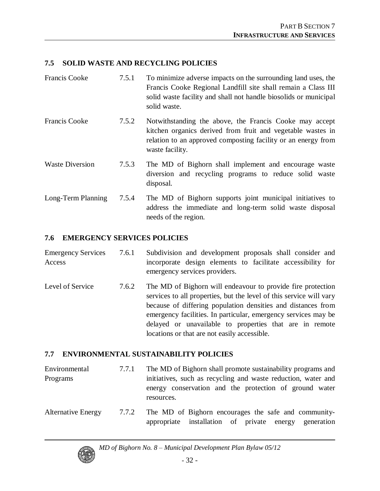#### **7.5 SOLID WASTE AND RECYCLING POLICIES**

| <b>Francis Cooke</b>   | 7.5.1 | To minimize adverse impacts on the surrounding land uses, the<br>Francis Cooke Regional Landfill site shall remain a Class III<br>solid waste facility and shall not handle biosolids or municipal<br>solid waste. |
|------------------------|-------|--------------------------------------------------------------------------------------------------------------------------------------------------------------------------------------------------------------------|
| <b>Francis Cooke</b>   | 7.5.2 | Notwithstanding the above, the Francis Cooke may accept<br>kitchen organics derived from fruit and vegetable wastes in<br>relation to an approved composting facility or an energy from<br>waste facility.         |
| <b>Waste Diversion</b> | 7.5.3 | The MD of Bighorn shall implement and encourage waste<br>diversion and recycling programs to reduce solid waste<br>disposal.                                                                                       |
| Long-Term Planning     | 7.5.4 | The MD of Bighorn supports joint municipal initiatives to<br>address the immediate and long-term solid waste disposal<br>needs of the region.                                                                      |

#### **7.6 EMERGENCY SERVICES POLICIES**

| <b>Emergency Services</b> |                               |  | 7.6.1 Subdivision and development proposals shall consider and |  |
|---------------------------|-------------------------------|--|----------------------------------------------------------------|--|
| Access                    |                               |  | incorporate design elements to facilitate accessibility for    |  |
|                           | emergency services providers. |  |                                                                |  |

Level of Service 7.6.2 The MD of Bighorn will endeavour to provide fire protection services to all properties, but the level of this service will vary because of differing population densities and distances from emergency facilities. In particular, emergency services may be delayed or unavailable to properties that are in remote locations or that are not easily accessible.

#### **7.7 ENVIRONMENTAL SUSTAINABILITY POLICIES**

| Environmental             | 7.7.1 | The MD of Bighorn shall promote sustainability programs and   |
|---------------------------|-------|---------------------------------------------------------------|
| Programs                  |       | initiatives, such as recycling and waste reduction, water and |
|                           |       | energy conservation and the protection of ground water        |
|                           |       | resources.                                                    |
| <b>Alternative Energy</b> | 7.7.2 | The MD of Bighorn encourages the safe and community-          |



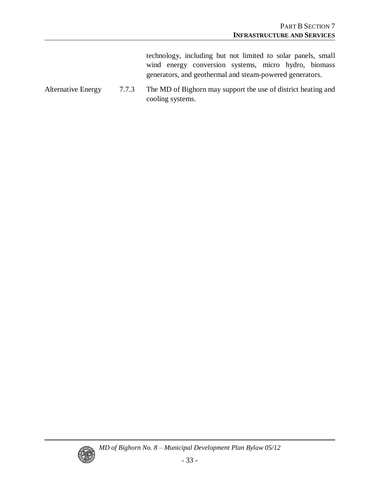technology, including but not limited to solar panels, small wind energy conversion systems, micro hydro, biomass generators, and geothermal and steam-powered generators.

Alternative Energy 7.7.3 The MD of Bighorn may support the use of district heating and cooling systems.

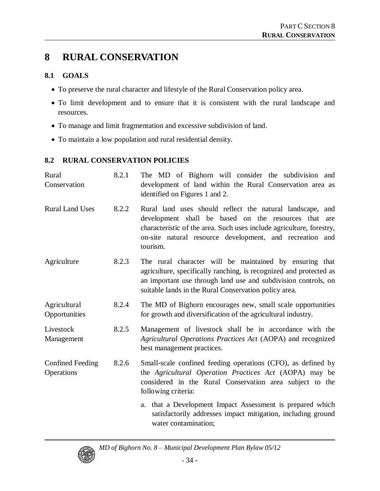# **8 RURAL CONSERVATION**

#### **8.1 GOALS**

- To preserve the rural character and lifestyle of the Rural Conservation policy area.
- To limit development and to ensure that it is consistent with the rural landscape and resources.
- To manage and limit fragmentation and excessive subdivision of land.
- To maintain a low population and rural residential density.

#### **8.2 RURAL CONSERVATION POLICIES**

| Rural<br>Conservation                 | 8.2.1 | The MD of Bighorn will consider the subdivision and<br>development of land within the Rural Conservation area as<br>identified on Figures 1 and 2.                                                                                                                |
|---------------------------------------|-------|-------------------------------------------------------------------------------------------------------------------------------------------------------------------------------------------------------------------------------------------------------------------|
| <b>Rural Land Uses</b>                | 8.2.2 | Rural land uses should reflect the natural landscape, and<br>development shall be based on the resources that are<br>characteristic of the area. Such uses include agriculture, forestry,<br>on-site natural resource development, and recreation and<br>tourism. |
| Agriculture                           | 8.2.3 | The rural character will be maintained by ensuring that<br>agriculture, specifically ranching, is recognized and protected as<br>an important use through land use and subdivision controls, on<br>suitable lands in the Rural Conservation policy area.          |
| Agricultural<br>Opportunities         | 8.2.4 | The MD of Bighorn encourages new, small scale opportunities<br>for growth and diversification of the agricultural industry.                                                                                                                                       |
| Livestock<br>Management               | 8.2.5 | Management of livestock shall be in accordance with the<br>Agricultural Operations Practices Act (AOPA) and recognized<br>best management practices.                                                                                                              |
| <b>Confined Feeding</b><br>Operations | 8.2.6 | Small-scale confined feeding operations (CFO), as defined by<br>the Agricultural Operation Practices Act (AOPA) may be<br>considered in the Rural Conservation area subject to the<br>following criteria:                                                         |
|                                       |       | a. that a Development Impact Assessment is prepared which<br>satisfactorily addresses impact mitigation, including ground<br>water contamination;                                                                                                                 |

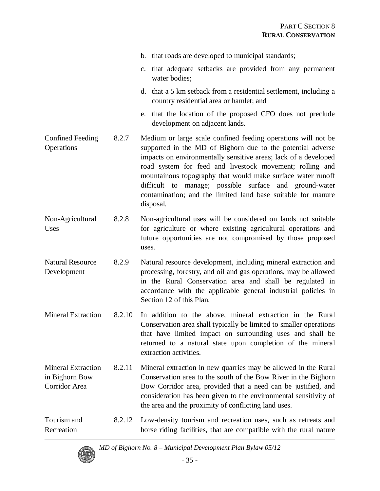- b. that roads are developed to municipal standards;
- c. that adequate setbacks are provided from any permanent water bodies;
- d. that a 5 km setback from a residential settlement, including a country residential area or hamlet; and
- e. that the location of the proposed CFO does not preclude development on adjacent lands.
- Confined Feeding **Operations** 8.2.7 Medium or large scale confined feeding operations will not be supported in the MD of Bighorn due to the potential adverse impacts on environmentally sensitive areas; lack of a developed road system for feed and livestock movement; rolling and mountainous topography that would make surface water runoff difficult to manage; possible surface and ground-water contamination; and the limited land base suitable for manure disposal.
- Non-Agricultural Uses 8.2.8 Non-agricultural uses will be considered on lands not suitable for agriculture or where existing agricultural operations and future opportunities are not compromised by those proposed uses.
- Natural Resource Development 8.2.9 Natural resource development, including mineral extraction and processing, forestry, and oil and gas operations, may be allowed in the Rural Conservation area and shall be regulated in accordance with the applicable general industrial policies in Section 12 of this Plan.
- Mineral Extraction 8.2.10 In addition to the above, mineral extraction in the Rural Conservation area shall typically be limited to smaller operations that have limited impact on surrounding uses and shall be returned to a natural state upon completion of the mineral extraction activities.
- Mineral Extraction in Bighorn Bow Corridor Area 8.2.11 Mineral extraction in new quarries may be allowed in the Rural Conservation area to the south of the Bow River in the Bighorn Bow Corridor area, provided that a need can be justified, and consideration has been given to the environmental sensitivity of the area and the proximity of conflicting land uses.
- Tourism and Recreation 8.2.12 Low-density tourism and recreation uses, such as retreats and horse riding facilities, that are compatible with the rural nature

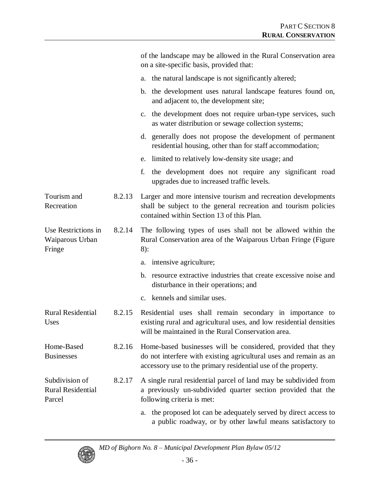|                                                      |        | of the landscape may be allowed in the Rural Conservation area<br>on a site-specific basis, provided that:                                                                                         |
|------------------------------------------------------|--------|----------------------------------------------------------------------------------------------------------------------------------------------------------------------------------------------------|
|                                                      |        | the natural landscape is not significantly altered;<br>a.                                                                                                                                          |
|                                                      |        | b. the development uses natural landscape features found on,<br>and adjacent to, the development site;                                                                                             |
|                                                      |        | c. the development does not require urban-type services, such<br>as water distribution or sewage collection systems;                                                                               |
|                                                      |        | d. generally does not propose the development of permanent<br>residential housing, other than for staff accommodation;                                                                             |
|                                                      |        | limited to relatively low-density site usage; and<br>e.                                                                                                                                            |
|                                                      |        | f.<br>the development does not require any significant road<br>upgrades due to increased traffic levels.                                                                                           |
| Tourism and<br>Recreation                            | 8.2.13 | Larger and more intensive tourism and recreation developments<br>shall be subject to the general recreation and tourism policies<br>contained within Section 13 of this Plan.                      |
| Use Restrictions in<br>Waiparous Urban<br>Fringe     | 8.2.14 | The following types of uses shall not be allowed within the<br>Rural Conservation area of the Waiparous Urban Fringe (Figure<br>$8)$ :                                                             |
|                                                      |        | intensive agriculture;<br>a.                                                                                                                                                                       |
|                                                      |        | b. resource extractive industries that create excessive noise and<br>disturbance in their operations; and                                                                                          |
|                                                      |        | c. kennels and similar uses.                                                                                                                                                                       |
| <b>Rural Residential</b><br>Uses                     | 8.2.15 | Residential uses shall remain secondary in importance to<br>existing rural and agricultural uses, and low residential densities<br>will be maintained in the Rural Conservation area.              |
| Home-Based<br><b>Businesses</b>                      | 8.2.16 | Home-based businesses will be considered, provided that they<br>do not interfere with existing agricultural uses and remain as an<br>accessory use to the primary residential use of the property. |
| Subdivision of<br><b>Rural Residential</b><br>Parcel | 8.2.17 | A single rural residential parcel of land may be subdivided from<br>a previously un-subdivided quarter section provided that the<br>following criteria is met:                                     |
|                                                      |        | the proposed lot can be adequately served by direct access to<br>a.<br>a public roadway, or by other lawful means satisfactory to                                                                  |

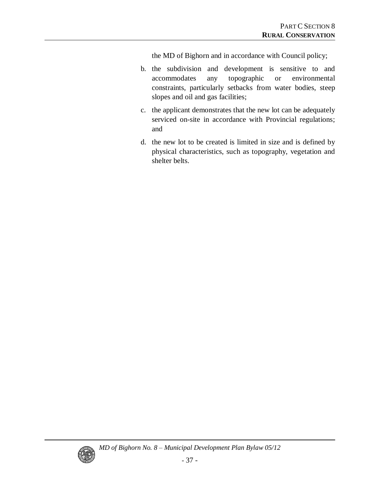the MD of Bighorn and in accordance with Council policy;

- b. the subdivision and development is sensitive to and accommodates any topographic or environmental constraints, particularly setbacks from water bodies, steep slopes and oil and gas facilities;
- c. the applicant demonstrates that the new lot can be adequately serviced on-site in accordance with Provincial regulations; and
- d. the new lot to be created is limited in size and is defined by physical characteristics, such as topography, vegetation and shelter belts.

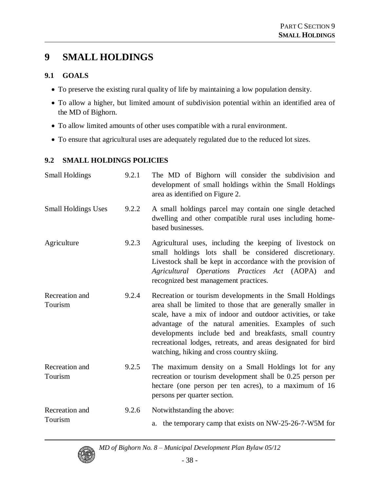# **9 SMALL HOLDINGS**

#### **9.1 GOALS**

- To preserve the existing rural quality of life by maintaining a low population density.
- To allow a higher, but limited amount of subdivision potential within an identified area of the MD of Bighorn.
- To allow limited amounts of other uses compatible with a rural environment.
- To ensure that agricultural uses are adequately regulated due to the reduced lot sizes.

## **9.2 SMALL HOLDINGS POLICIES**

| <b>Small Holdings</b>      | 9.2.1 | The MD of Bighorn will consider the subdivision and<br>development of small holdings within the Small Holdings<br>area as identified on Figure 2.                                                                                                                                                                                                                                                                       |
|----------------------------|-------|-------------------------------------------------------------------------------------------------------------------------------------------------------------------------------------------------------------------------------------------------------------------------------------------------------------------------------------------------------------------------------------------------------------------------|
| <b>Small Holdings Uses</b> | 9.2.2 | A small holdings parcel may contain one single detached<br>dwelling and other compatible rural uses including home-<br>based businesses.                                                                                                                                                                                                                                                                                |
| Agriculture                | 9.2.3 | Agricultural uses, including the keeping of livestock on<br>small holdings lots shall be considered discretionary.<br>Livestock shall be kept in accordance with the provision of<br>Agricultural Operations Practices Act (AOPA)<br>and<br>recognized best management practices.                                                                                                                                       |
| Recreation and<br>Tourism  | 9.2.4 | Recreation or tourism developments in the Small Holdings<br>area shall be limited to those that are generally smaller in<br>scale, have a mix of indoor and outdoor activities, or take<br>advantage of the natural amenities. Examples of such<br>developments include bed and breakfasts, small country<br>recreational lodges, retreats, and areas designated for bird<br>watching, hiking and cross country skiing. |
| Recreation and<br>Tourism  | 9.2.5 | The maximum density on a Small Holdings lot for any<br>recreation or tourism development shall be 0.25 person per<br>hectare (one person per ten acres), to a maximum of 16<br>persons per quarter section.                                                                                                                                                                                                             |
| Recreation and<br>Tourism  | 9.2.6 | Notwithstanding the above:<br>a. the temporary camp that exists on NW-25-26-7-W5M for                                                                                                                                                                                                                                                                                                                                   |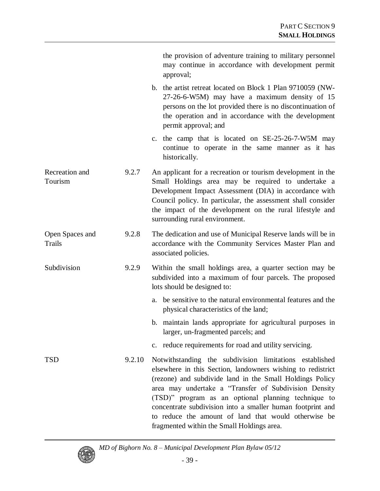|                                  |        | the provision of adventure training to military personnel<br>may continue in accordance with development permit<br>approval;                                                                                                                                                                                                                                                                                                                                           |
|----------------------------------|--------|------------------------------------------------------------------------------------------------------------------------------------------------------------------------------------------------------------------------------------------------------------------------------------------------------------------------------------------------------------------------------------------------------------------------------------------------------------------------|
|                                  |        | b. the artist retreat located on Block 1 Plan 9710059 (NW-<br>27-26-6-W5M) may have a maximum density of 15<br>persons on the lot provided there is no discontinuation of<br>the operation and in accordance with the development<br>permit approval; and                                                                                                                                                                                                              |
|                                  |        | c. the camp that is located on SE-25-26-7-W5M may<br>continue to operate in the same manner as it has<br>historically.                                                                                                                                                                                                                                                                                                                                                 |
| Recreation and<br>Tourism        | 9.2.7  | An applicant for a recreation or tourism development in the<br>Small Holdings area may be required to undertake a<br>Development Impact Assessment (DIA) in accordance with<br>Council policy. In particular, the assessment shall consider<br>the impact of the development on the rural lifestyle and<br>surrounding rural environment.                                                                                                                              |
| Open Spaces and<br><b>Trails</b> | 9.2.8  | The dedication and use of Municipal Reserve lands will be in<br>accordance with the Community Services Master Plan and<br>associated policies.                                                                                                                                                                                                                                                                                                                         |
| Subdivision                      | 9.2.9  | Within the small holdings area, a quarter section may be<br>subdivided into a maximum of four parcels. The proposed<br>lots should be designed to:                                                                                                                                                                                                                                                                                                                     |
|                                  |        | be sensitive to the natural environmental features and the<br>a.<br>physical characteristics of the land;                                                                                                                                                                                                                                                                                                                                                              |
|                                  |        | b. maintain lands appropriate for agricultural purposes in<br>larger, un-fragmented parcels; and                                                                                                                                                                                                                                                                                                                                                                       |
|                                  |        | c. reduce requirements for road and utility servicing.                                                                                                                                                                                                                                                                                                                                                                                                                 |
| <b>TSD</b>                       | 9.2.10 | Notwithstanding the subdivision limitations established<br>elsewhere in this Section, landowners wishing to redistrict<br>(rezone) and subdivide land in the Small Holdings Policy<br>area may undertake a "Transfer of Subdivision Density<br>(TSD)" program as an optional planning technique to<br>concentrate subdivision into a smaller human footprint and<br>to reduce the amount of land that would otherwise be<br>fragmented within the Small Holdings area. |

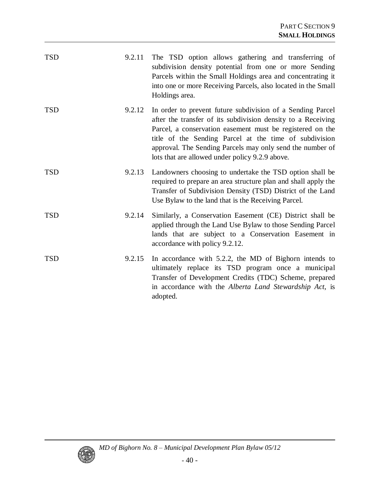| <b>TSD</b> | 9.2.11 | The TSD option allows gathering and transferring of<br>subdivision density potential from one or more Sending<br>Parcels within the Small Holdings area and concentrating it<br>into one or more Receiving Parcels, also located in the Small<br>Holdings area.                                                                                                   |
|------------|--------|-------------------------------------------------------------------------------------------------------------------------------------------------------------------------------------------------------------------------------------------------------------------------------------------------------------------------------------------------------------------|
| <b>TSD</b> | 9.2.12 | In order to prevent future subdivision of a Sending Parcel<br>after the transfer of its subdivision density to a Receiving<br>Parcel, a conservation easement must be registered on the<br>title of the Sending Parcel at the time of subdivision<br>approval. The Sending Parcels may only send the number of<br>lots that are allowed under policy 9.2.9 above. |
| <b>TSD</b> | 9.2.13 | Landowners choosing to undertake the TSD option shall be<br>required to prepare an area structure plan and shall apply the<br>Transfer of Subdivision Density (TSD) District of the Land<br>Use Bylaw to the land that is the Receiving Parcel.                                                                                                                   |
| <b>TSD</b> | 9.2.14 | Similarly, a Conservation Easement (CE) District shall be<br>applied through the Land Use Bylaw to those Sending Parcel<br>lands that are subject to a Conservation Easement in<br>accordance with policy 9.2.12.                                                                                                                                                 |
| <b>TSD</b> | 9.2.15 | In accordance with 5.2.2, the MD of Bighorn intends to<br>ultimately replace its TSD program once a municipal<br>Transfer of Development Credits (TDC) Scheme, prepared<br>in accordance with the Alberta Land Stewardship Act, is<br>adopted.                                                                                                                    |

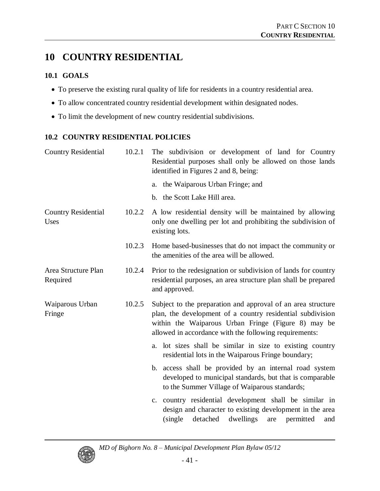# **10 COUNTRY RESIDENTIAL**

### **10.1 GOALS**

- To preserve the existing rural quality of life for residents in a country residential area.
- To allow concentrated country residential development within designated nodes.
- To limit the development of new country residential subdivisions.

## **10.2 COUNTRY RESIDENTIAL POLICIES**

| <b>Country Residential</b>         | 10.2.1 | The subdivision or development of land for Country<br>Residential purposes shall only be allowed on those lands<br>identified in Figures 2 and 8, being:                                                                                    |
|------------------------------------|--------|---------------------------------------------------------------------------------------------------------------------------------------------------------------------------------------------------------------------------------------------|
|                                    |        | a. the Waiparous Urban Fringe; and                                                                                                                                                                                                          |
|                                    |        | b. the Scott Lake Hill area.                                                                                                                                                                                                                |
| <b>Country Residential</b><br>Uses | 10.2.2 | A low residential density will be maintained by allowing<br>only one dwelling per lot and prohibiting the subdivision of<br>existing lots.                                                                                                  |
|                                    | 10.2.3 | Home based-businesses that do not impact the community or<br>the amenities of the area will be allowed.                                                                                                                                     |
| Area Structure Plan<br>Required    | 10.2.4 | Prior to the redesignation or subdivision of lands for country<br>residential purposes, an area structure plan shall be prepared<br>and approved.                                                                                           |
| Waiparous Urban<br>Fringe          | 10.2.5 | Subject to the preparation and approval of an area structure<br>plan, the development of a country residential subdivision<br>within the Waiparous Urban Fringe (Figure 8) may be<br>allowed in accordance with the following requirements: |
|                                    |        | a. lot sizes shall be similar in size to existing country<br>residential lots in the Waiparous Fringe boundary;                                                                                                                             |
|                                    |        | b. access shall be provided by an internal road system<br>developed to municipal standards, but that is comparable<br>to the Summer Village of Waiparous standards;                                                                         |
|                                    |        | c. country residential development shall be similar in<br>design and character to existing development in the area<br>dwellings<br>detached<br>permitted<br>(single)<br>are<br>and                                                          |

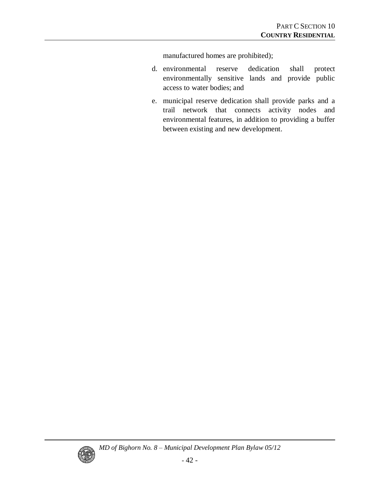manufactured homes are prohibited);

- d. environmental reserve dedication shall protect environmentally sensitive lands and provide public access to water bodies; and
- e. municipal reserve dedication shall provide parks and a trail network that connects activity nodes and environmental features, in addition to providing a buffer between existing and new development.

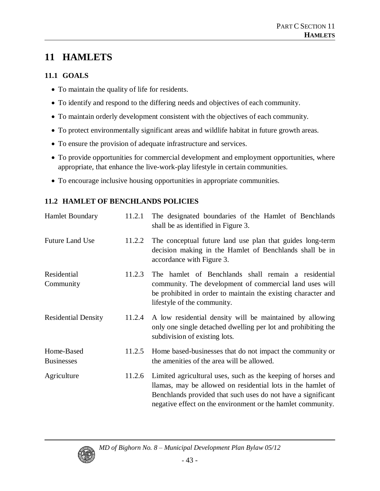# **11 HAMLETS**

### **11.1 GOALS**

- To maintain the quality of life for residents.
- To identify and respond to the differing needs and objectives of each community.
- To maintain orderly development consistent with the objectives of each community.
- To protect environmentally significant areas and wildlife habitat in future growth areas.
- To ensure the provision of adequate infrastructure and services.
- To provide opportunities for commercial development and employment opportunities, where appropriate, that enhance the live-work-play lifestyle in certain communities.
- To encourage inclusive housing opportunities in appropriate communities.

## **11.2 HAMLET OF BENCHLANDS POLICIES**

| <b>Hamlet Boundary</b>          | 11.2.1 | The designated boundaries of the Hamlet of Benchlands<br>shall be as identified in Figure 3.                                                                                                                                                               |
|---------------------------------|--------|------------------------------------------------------------------------------------------------------------------------------------------------------------------------------------------------------------------------------------------------------------|
| <b>Future Land Use</b>          | 11.2.2 | The conceptual future land use plan that guides long-term<br>decision making in the Hamlet of Benchlands shall be in<br>accordance with Figure 3.                                                                                                          |
| Residential<br>Community        | 11.2.3 | The hamlet of Benchlands shall remain a residential<br>community. The development of commercial land uses will<br>be prohibited in order to maintain the existing character and<br>lifestyle of the community.                                             |
| <b>Residential Density</b>      | 11.2.4 | A low residential density will be maintained by allowing<br>only one single detached dwelling per lot and prohibiting the<br>subdivision of existing lots.                                                                                                 |
| Home-Based<br><b>Businesses</b> | 11.2.5 | Home based-businesses that do not impact the community or<br>the amenities of the area will be allowed.                                                                                                                                                    |
| Agriculture                     | 11.2.6 | Limited agricultural uses, such as the keeping of horses and<br>llamas, may be allowed on residential lots in the hamlet of<br>Benchlands provided that such uses do not have a significant<br>negative effect on the environment or the hamlet community. |

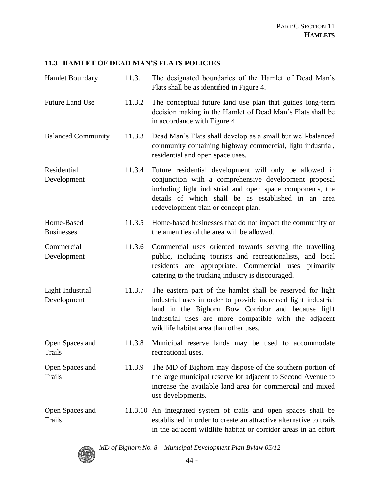#### **11.3 HAMLETOFDEADMAN'SFLATS POLICIES**

| Hamlet Boundary                  | 11.3.1 | The designated boundaries of the Hamlet of Dead Man's<br>Flats shall be as identified in Figure 4.                                                                                                                                                                                    |
|----------------------------------|--------|---------------------------------------------------------------------------------------------------------------------------------------------------------------------------------------------------------------------------------------------------------------------------------------|
| <b>Future Land Use</b>           | 11.3.2 | The conceptual future land use plan that guides long-term<br>decision making in the Hamlet of Dead Man's Flats shall be<br>in accordance with Figure 4.                                                                                                                               |
| <b>Balanced Community</b>        | 11.3.3 | Dead Man's Flats shall develop as a small but well-balanced<br>community containing highway commercial, light industrial,<br>residential and open space uses.                                                                                                                         |
| Residential<br>Development       | 11.3.4 | Future residential development will only be allowed in<br>conjunction with a comprehensive development proposal<br>including light industrial and open space components, the<br>details of which shall be as established in an area<br>redevelopment plan or concept plan.            |
| Home-Based<br><b>Businesses</b>  | 11.3.5 | Home-based businesses that do not impact the community or<br>the amenities of the area will be allowed.                                                                                                                                                                               |
| Commercial<br>Development        | 11.3.6 | Commercial uses oriented towards serving the travelling<br>public, including tourists and recreationalists, and local<br>appropriate. Commercial uses primarily<br>residents are<br>catering to the trucking industry is discouraged.                                                 |
| Light Industrial<br>Development  | 11.3.7 | The eastern part of the hamlet shall be reserved for light<br>industrial uses in order to provide increased light industrial<br>land in the Bighorn Bow Corridor and because light<br>industrial uses are more compatible with the adjacent<br>wildlife habitat area than other uses. |
| Open Spaces and<br>Trails        | 11.3.8 | Municipal reserve lands may be used to accommodate<br>recreational uses.                                                                                                                                                                                                              |
| Open Spaces and<br>Trails        | 11.3.9 | The MD of Bighorn may dispose of the southern portion of<br>the large municipal reserve lot adjacent to Second Avenue to<br>increase the available land area for commercial and mixed<br>use developments.                                                                            |
| Open Spaces and<br><b>Trails</b> |        | 11.3.10 An integrated system of trails and open spaces shall be<br>established in order to create an attractive alternative to trails<br>in the adjacent wildlife habitat or corridor areas in an effort                                                                              |

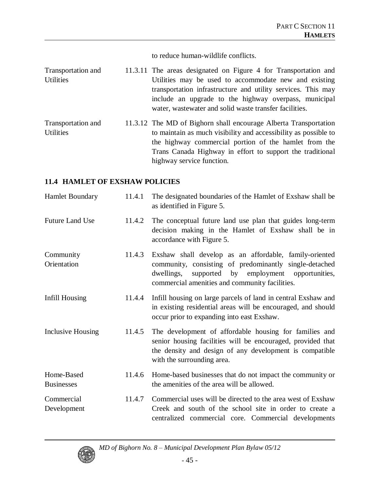to reduce human-wildlife conflicts.

| Transportation and                                                                                                                                                                                                                                                                                                                                                                                         | 11.3.11 The areas designated on Figure 4 for Transportation and                                                                                                                                                                            |
|------------------------------------------------------------------------------------------------------------------------------------------------------------------------------------------------------------------------------------------------------------------------------------------------------------------------------------------------------------------------------------------------------------|--------------------------------------------------------------------------------------------------------------------------------------------------------------------------------------------------------------------------------------------|
| <b>Utilities</b>                                                                                                                                                                                                                                                                                                                                                                                           | Utilities may be used to accommodate new and existing<br>transportation infrastructure and utility services. This may<br>include an upgrade to the highway overpass, municipal<br>water, was tewater and solid was te transfer facilities. |
| Transportation and<br>$\overline{1}$ $\overline{1}$ $\overline{1}$ $\overline{1}$ $\overline{1}$ $\overline{1}$ $\overline{1}$ $\overline{1}$ $\overline{1}$ $\overline{1}$ $\overline{1}$ $\overline{1}$ $\overline{1}$ $\overline{1}$ $\overline{1}$ $\overline{1}$ $\overline{1}$ $\overline{1}$ $\overline{1}$ $\overline{1}$ $\overline{1}$ $\overline{1}$ $\overline{1}$ $\overline{1}$ $\overline{$ | 11.3.12 The MD of Bighorn shall encourage Alberta Transportation<br>to mointain as much visibility and accessibility as nossible to                                                                                                        |

Utilities to maintain as much visibility and accessibility as possible to the highway commercial portion of the hamlet from the Trans Canada Highway in effort to support the traditional highway service function.

#### **11.4 HAMLET OF EXSHAW POLICIES**

| <b>Hamlet Boundary</b>          | 11.4.1 | The designated boundaries of the Hamlet of Exshaw shall be<br>as identified in Figure 5.                                                                                                                                         |
|---------------------------------|--------|----------------------------------------------------------------------------------------------------------------------------------------------------------------------------------------------------------------------------------|
| <b>Future Land Use</b>          | 11.4.2 | The conceptual future land use plan that guides long-term<br>decision making in the Hamlet of Exshaw shall be in<br>accordance with Figure 5.                                                                                    |
| Community<br>Orientation        | 11.4.3 | Exshaw shall develop as an affordable, family-oriented<br>community, consisting of predominantly single-detached<br>employment opportunities,<br>dwellings,<br>supported<br>by<br>commercial amenities and community facilities. |
| Infill Housing                  | 11.4.4 | Infill housing on large parcels of land in central Exshaw and<br>in existing residential areas will be encouraged, and should<br>occur prior to expanding into east Exshaw.                                                      |
| Inclusive Housing               | 11.4.5 | The development of affordable housing for families and<br>senior housing facilities will be encouraged, provided that<br>the density and design of any development is compatible<br>with the surrounding area.                   |
| Home-Based<br><b>Businesses</b> | 11.4.6 | Home-based businesses that do not impact the community or<br>the amenities of the area will be allowed.                                                                                                                          |
| Commercial<br>Development       | 11.4.7 | Commercial uses will be directed to the area west of Exshaw<br>Creek and south of the school site in order to create a<br>centralized commercial core. Commercial developments                                                   |

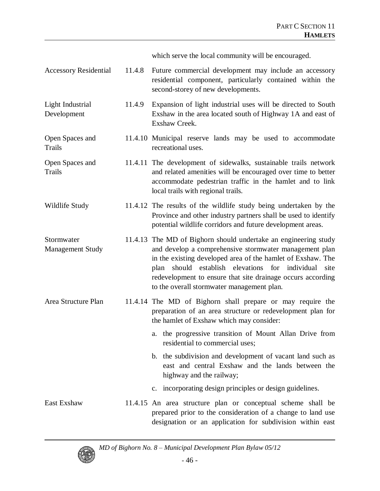which serve the local community will be encouraged.

| <b>Accessory Residential</b>          | 11.4.8 | Future commercial development may include an accessory<br>residential component, particularly contained within the<br>second-storey of new developments.                                                                                                                                                                                                         |
|---------------------------------------|--------|------------------------------------------------------------------------------------------------------------------------------------------------------------------------------------------------------------------------------------------------------------------------------------------------------------------------------------------------------------------|
| Light Industrial<br>Development       | 11.4.9 | Expansion of light industrial uses will be directed to South<br>Exshaw in the area located south of Highway 1A and east of<br>Exshaw Creek.                                                                                                                                                                                                                      |
| Open Spaces and<br>Trails             |        | 11.4.10 Municipal reserve lands may be used to accommodate<br>recreational uses.                                                                                                                                                                                                                                                                                 |
| Open Spaces and<br><b>Trails</b>      |        | 11.4.11 The development of sidewalks, sustainable trails network<br>and related amenities will be encouraged over time to better<br>accommodate pedestrian traffic in the hamlet and to link<br>local trails with regional trails.                                                                                                                               |
| Wildlife Study                        |        | 11.4.12 The results of the wildlife study being undertaken by the<br>Province and other industry partners shall be used to identify<br>potential wildlife corridors and future development areas.                                                                                                                                                                |
| Stormwater<br><b>Management Study</b> |        | 11.4.13 The MD of Bighorn should undertake an engineering study<br>and develop a comprehensive stormwater management plan<br>in the existing developed area of the hamlet of Exshaw. The<br>should establish elevations for individual site<br>plan<br>redevelopment to ensure that site drainage occurs according<br>to the overall stormwater management plan. |
| Area Structure Plan                   |        | 11.4.14 The MD of Bighorn shall prepare or may require the<br>preparation of an area structure or redevelopment plan for<br>the hamlet of Exshaw which may consider:                                                                                                                                                                                             |
|                                       |        | a. the progressive transition of Mount Allan Drive from<br>residential to commercial uses;                                                                                                                                                                                                                                                                       |
|                                       |        | b. the subdivision and development of vacant land such as<br>east and central Exshaw and the lands between the<br>highway and the railway;                                                                                                                                                                                                                       |
|                                       |        | c. incorporating design principles or design guidelines.                                                                                                                                                                                                                                                                                                         |
| East Exshaw                           |        | 11.4.15 An area structure plan or conceptual scheme shall be<br>prepared prior to the consideration of a change to land use<br>designation or an application for subdivision within east                                                                                                                                                                         |

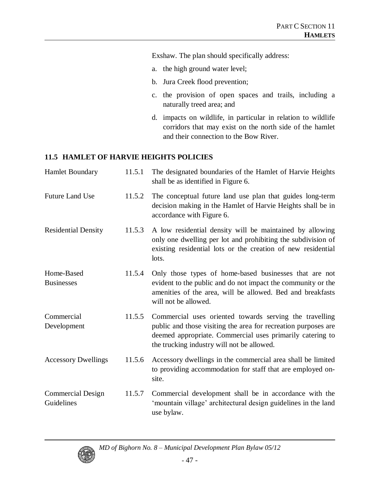Exshaw. The plan should specifically address:

- a. the high ground water level;
- b. Jura Creek flood prevention;
- c. the provision of open spaces and trails, including a naturally treed area; and
- d. impacts on wildlife, in particular in relation to wildlife corridors that may exist on the north side of the hamlet and their connection to the Bow River.

#### **11.5 HAMLET OF HARVIE HEIGHTS POLICIES**

| <b>Hamlet Boundary</b>                 | 11.5.1 | The designated boundaries of the Hamlet of Harvie Heights<br>shall be as identified in Figure 6.                                                                                                                                     |
|----------------------------------------|--------|--------------------------------------------------------------------------------------------------------------------------------------------------------------------------------------------------------------------------------------|
| <b>Future Land Use</b>                 | 11.5.2 | The conceptual future land use plan that guides long-term<br>decision making in the Hamlet of Harvie Heights shall be in<br>accordance with Figure 6.                                                                                |
| <b>Residential Density</b>             | 11.5.3 | A low residential density will be maintained by allowing<br>only one dwelling per lot and prohibiting the subdivision of<br>existing residential lots or the creation of new residential<br>lots.                                    |
| Home-Based<br><b>Businesses</b>        | 11.5.4 | Only those types of home-based businesses that are not<br>evident to the public and do not impact the community or the<br>amenities of the area, will be allowed. Bed and breakfasts<br>will not be allowed.                         |
| Commercial<br>Development              | 11.5.5 | Commercial uses oriented towards serving the travelling<br>public and those visiting the area for recreation purposes are<br>deemed appropriate. Commercial uses primarily catering to<br>the trucking industry will not be allowed. |
| <b>Accessory Dwellings</b>             | 11.5.6 | Accessory dwellings in the commercial area shall be limited<br>to providing accommodation for staff that are employed on-<br>site.                                                                                                   |
| <b>Commercial Design</b><br>Guidelines | 11.5.7 | Commercial development shall be in accordance with the<br>'mountain village' architectural design guidelines in the land<br>use bylaw.                                                                                               |

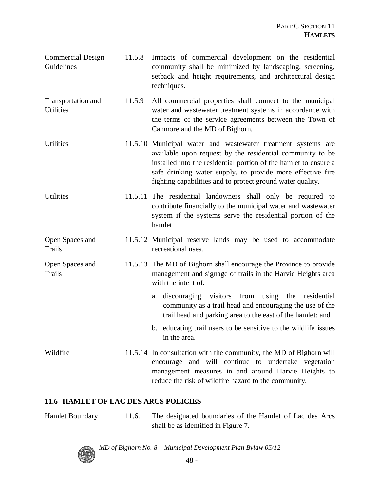| <b>Commercial Design</b><br>Guidelines | 11.5.8 | Impacts of commercial development on the residential<br>community shall be minimized by landscaping, screening,<br>setback and height requirements, and architectural design<br>techniques.                                                                                                                               |
|----------------------------------------|--------|---------------------------------------------------------------------------------------------------------------------------------------------------------------------------------------------------------------------------------------------------------------------------------------------------------------------------|
| Transportation and<br><b>Utilities</b> | 11.5.9 | All commercial properties shall connect to the municipal<br>water and wastewater treatment systems in accordance with<br>the terms of the service agreements between the Town of<br>Canmore and the MD of Bighorn.                                                                                                        |
| Utilities                              |        | 11.5.10 Municipal water and wastewater treatment systems are<br>available upon request by the residential community to be<br>installed into the residential portion of the hamlet to ensure a<br>safe drinking water supply, to provide more effective fire<br>fighting capabilities and to protect ground water quality. |
| <b>Utilities</b>                       |        | 11.5.11 The residential landowners shall only be required to<br>contribute financially to the municipal water and wastewater<br>system if the systems serve the residential portion of the<br>hamlet.                                                                                                                     |
| Open Spaces and<br><b>Trails</b>       |        | 11.5.12 Municipal reserve lands may be used to accommodate<br>recreational uses.                                                                                                                                                                                                                                          |
| Open Spaces and<br>Trails              |        | 11.5.13 The MD of Bighorn shall encourage the Province to provide<br>management and signage of trails in the Harvie Heights area<br>with the intent of:                                                                                                                                                                   |
|                                        |        | a. discouraging visitors from using the residential<br>community as a trail head and encouraging the use of the<br>trail head and parking area to the east of the hamlet; and                                                                                                                                             |
|                                        |        | b. educating trail users to be sensitive to the wildlife issues<br>in the area.                                                                                                                                                                                                                                           |
| Wildfire                               |        | 11.5.14 In consultation with the community, the MD of Bighorn will<br>encourage and will continue to undertake vegetation<br>management measures in and around Harvie Heights to<br>reduce the risk of wildfire hazard to the community.                                                                                  |

## **11.6 HAMLET OF LAC DES ARCS POLICIES**

Hamlet Boundary 11.6.1 The designated boundaries of the Hamlet of Lac des Arcs shall be as identified in Figure 7.

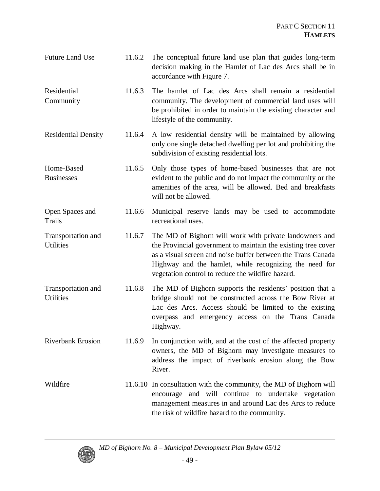| <b>Future Land Use</b>                 | 11.6.2 | The conceptual future land use plan that guides long-term<br>decision making in the Hamlet of Lac des Arcs shall be in<br>accordance with Figure 7.                                                                                                                                                     |
|----------------------------------------|--------|---------------------------------------------------------------------------------------------------------------------------------------------------------------------------------------------------------------------------------------------------------------------------------------------------------|
| Residential<br>Community               | 11.6.3 | The hamlet of Lac des Arcs shall remain a residential<br>community. The development of commercial land uses will<br>be prohibited in order to maintain the existing character and<br>lifestyle of the community.                                                                                        |
| <b>Residential Density</b>             | 11.6.4 | A low residential density will be maintained by allowing<br>only one single detached dwelling per lot and prohibiting the<br>subdivision of existing residential lots.                                                                                                                                  |
| Home-Based<br><b>Businesses</b>        | 11.6.5 | Only those types of home-based businesses that are not<br>evident to the public and do not impact the community or the<br>amenities of the area, will be allowed. Bed and breakfasts<br>will not be allowed.                                                                                            |
| Open Spaces and<br><b>Trails</b>       | 11.6.6 | Municipal reserve lands may be used to accommodate<br>recreational uses.                                                                                                                                                                                                                                |
| Transportation and<br><b>Utilities</b> | 11.6.7 | The MD of Bighorn will work with private landowners and<br>the Provincial government to maintain the existing tree cover<br>as a visual screen and noise buffer between the Trans Canada<br>Highway and the hamlet, while recognizing the need for<br>vegetation control to reduce the wildfire hazard. |
| Transportation and<br><b>Utilities</b> | 11.6.8 | The MD of Bighorn supports the residents' position that a<br>bridge should not be constructed across the Bow River at<br>Lac des Arcs. Access should be limited to the existing<br>overpass and emergency access on the Trans Canada<br>Highway.                                                        |
| <b>Riverbank Erosion</b>               | 11.6.9 | In conjunction with, and at the cost of the affected property<br>owners, the MD of Bighorn may investigate measures to<br>address the impact of riverbank erosion along the Bow<br>River.                                                                                                               |
| Wildfire                               |        | 11.6.10 In consultation with the community, the MD of Bighorn will<br>encourage and will continue to undertake vegetation<br>management measures in and around Lac des Arcs to reduce<br>the risk of wildfire hazard to the community.                                                                  |

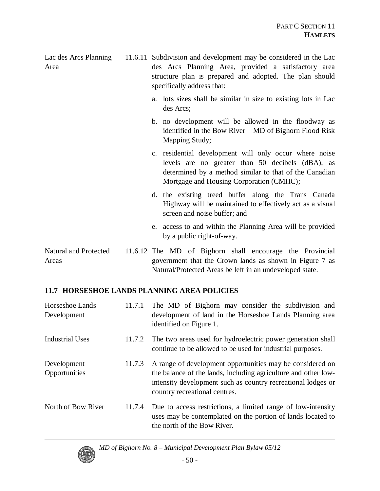| Lac des Arcs Planning<br>Area  | 11.6.11 Subdivision and development may be considered in the Lac<br>des Arcs Planning Area, provided a satisfactory area<br>structure plan is prepared and adopted. The plan should<br>specifically address that: |
|--------------------------------|-------------------------------------------------------------------------------------------------------------------------------------------------------------------------------------------------------------------|
|                                | a. lots sizes shall be similar in size to existing lots in Lac<br>des Arcs;                                                                                                                                       |
|                                | b. no development will be allowed in the floodway as<br>identified in the Bow River – MD of Bighorn Flood Risk<br>Mapping Study;                                                                                  |
|                                | c. residential development will only occur where noise<br>levels are no greater than 50 decibels (dBA), as<br>determined by a method similar to that of the Canadian<br>Mortgage and Housing Corporation (CMHC);  |
|                                | d. the existing treed buffer along the Trans Canada<br>Highway will be maintained to effectively act as a visual<br>screen and noise buffer; and                                                                  |
|                                | e. access to and within the Planning Area will be provided<br>by a public right-of-way.                                                                                                                           |
| Natural and Protected<br>Areas | 11.6.12 The MD of Bighorn shall encourage the Provincial<br>government that the Crown lands as shown in Figure 7 as<br>Natural/Protected Areas be left in an undeveloped state.                                   |

## **11.7 HORSESHOE LANDS PLANNING AREA POLICIES**

| Horseshoe Lands<br>Development | 11.7.1 | The MD of Bighorn may consider the subdivision and<br>development of land in the Horseshoe Lands Planning area<br>identified on Figure 1.                                                                                    |
|--------------------------------|--------|------------------------------------------------------------------------------------------------------------------------------------------------------------------------------------------------------------------------------|
| <b>Industrial Uses</b>         | 11.7.2 | The two areas used for hydroelectric power generation shall<br>continue to be allowed to be used for industrial purposes.                                                                                                    |
| Development<br>Opportunities   | 11.7.3 | A range of development opportunities may be considered on<br>the balance of the lands, including agriculture and other low-<br>intensity development such as country recreational lodges or<br>country recreational centres. |
| North of Bow River             | 11.7.4 | Due to access restrictions, a limited range of low-intensity<br>uses may be contemplated on the portion of lands located to<br>the north of the Bow River.                                                                   |

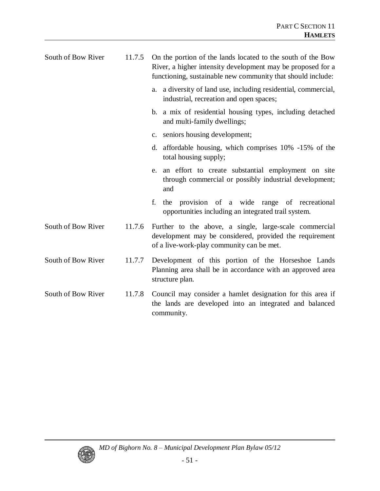| South of Bow River | 11.7.5 | On the portion of the lands located to the south of the Bow<br>River, a higher intensity development may be proposed for a<br>functioning, sustainable new community that should include: |
|--------------------|--------|-------------------------------------------------------------------------------------------------------------------------------------------------------------------------------------------|
|                    |        | a. a diversity of land use, including residential, commercial,<br>industrial, recreation and open spaces;                                                                                 |
|                    |        | b. a mix of residential housing types, including detached<br>and multi-family dwellings;                                                                                                  |
|                    |        | c. seniors housing development;                                                                                                                                                           |
|                    |        | d. affordable housing, which comprises 10% -15% of the<br>total housing supply;                                                                                                           |
|                    |        | e. an effort to create substantial employment on site<br>through commercial or possibly industrial development;<br>and                                                                    |
|                    |        | the provision of a wide range of recreational<br>f.<br>opportunities including an integrated trail system.                                                                                |
| South of Bow River | 11.7.6 | Further to the above, a single, large-scale commercial<br>development may be considered, provided the requirement<br>of a live-work-play community can be met.                            |
| South of Bow River | 11.7.7 | Development of this portion of the Horseshoe Lands<br>Planning area shall be in accordance with an approved area<br>structure plan.                                                       |
| South of Bow River | 11.7.8 | Council may consider a hamlet designation for this area if<br>the lands are developed into an integrated and balanced<br>community.                                                       |

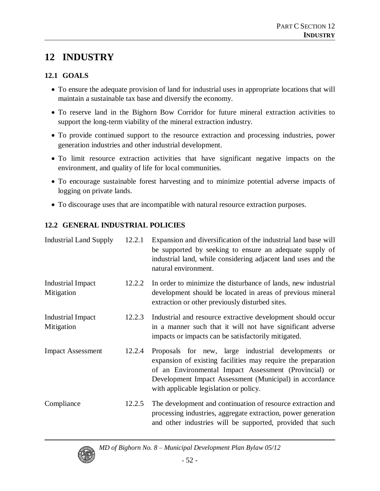# **12 INDUSTRY**

### **12.1 GOALS**

- To ensure the adequate provision of land for industrial uses in appropriate locations that will maintain a sustainable tax base and diversify the economy.
- To reserve land in the Bighorn Bow Corridor for future mineral extraction activities to support the long-term viability of the mineral extraction industry.
- To provide continued support to the resource extraction and processing industries, power generation industries and other industrial development.
- To limit resource extraction activities that have significant negative impacts on the environment, and quality of life for local communities.
- To encourage sustainable forest harvesting and to minimize potential adverse impacts of logging on private lands.
- To discourage uses that are incompatible with natural resource extraction purposes.

## **12.2 GENERAL INDUSTRIAL POLICIES**

| <b>Industrial Land Supply</b>          | 12.2.1 | Expansion and diversification of the industrial land base will<br>be supported by seeking to ensure an adequate supply of<br>industrial land, while considering adjacent land uses and the<br>natural environment.                                                                |
|----------------------------------------|--------|-----------------------------------------------------------------------------------------------------------------------------------------------------------------------------------------------------------------------------------------------------------------------------------|
| <b>Industrial Impact</b><br>Mitigation | 12.2.2 | In order to minimize the disturbance of lands, new industrial<br>development should be located in areas of previous mineral<br>extraction or other previously disturbed sites.                                                                                                    |
| <b>Industrial Impact</b><br>Mitigation | 12.2.3 | Industrial and resource extractive development should occur<br>in a manner such that it will not have significant adverse<br>impacts or impacts can be satisfactorily mitigated.                                                                                                  |
| <b>Impact Assessment</b>               | 12.2.4 | Proposals for new, large industrial developments or<br>expansion of existing facilities may require the preparation<br>of an Environmental Impact Assessment (Provincial) or<br>Development Impact Assessment (Municipal) in accordance<br>with applicable legislation or policy. |
| Compliance                             | 12.2.5 | The development and continuation of resource extraction and<br>processing industries, aggregate extraction, power generation<br>and other industries will be supported, provided that such                                                                                        |

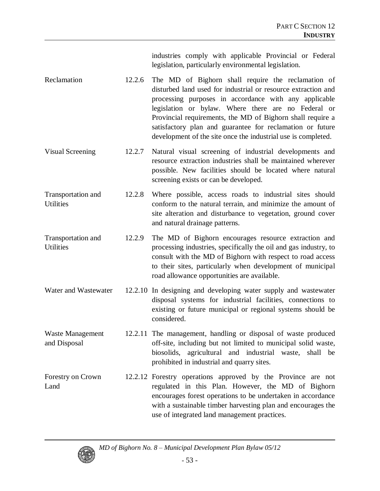industries comply with applicable Provincial or Federal legislation, particularly environmental legislation.

- Reclamation 12.2.6 The MD of Bighorn shall require the reclamation of disturbed land used for industrial or resource extraction and processing purposes in accordance with any applicable legislation or bylaw. Where there are no Federal or Provincial requirements, the MD of Bighorn shall require a satisfactory plan and guarantee for reclamation or future development of the site once the industrial use is completed.
- Visual Screening 12.2.7 Natural visual screening of industrial developments and resource extraction industries shall be maintained wherever possible. New facilities should be located where natural screening exists or can be developed.
- Transportation and **Utilities** 12.2.8 Where possible, access roads to industrial sites should conform to the natural terrain, and minimize the amount of site alteration and disturbance to vegetation, ground cover and natural drainage patterns.
- Transportation and **Utilities** 12.2.9 The MD of Bighorn encourages resource extraction and processing industries, specifically the oil and gas industry, to consult with the MD of Bighorn with respect to road access to their sites, particularly when development of municipal road allowance opportunities are available.
- Water and Wastewater 12.2.10 In designing and developing water supply and wastewater disposal systems for industrial facilities, connections to existing or future municipal or regional systems should be considered.
- Waste Management and Disposal 12.2.11 The management, handling or disposal of waste produced off-site, including but not limited to municipal solid waste, biosolids, agricultural and industrial waste, shall be prohibited in industrial and quarry sites.
- Forestry on Crown Land 12.2.12 Forestry operations approved by the Province are not regulated in this Plan. However, the MD of Bighorn encourages forest operations to be undertaken in accordance with a sustainable timber harvesting plan and encourages the use of integrated land management practices.

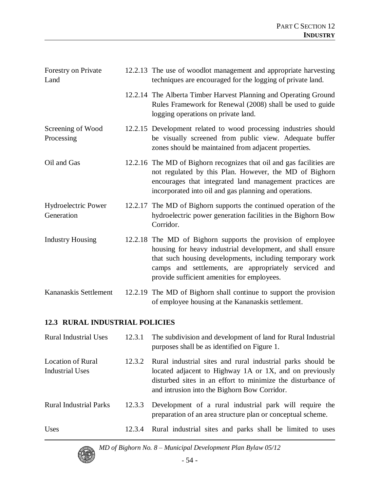| Forestry on Private<br>Land              | 12.2.13 The use of woodlot management and appropriate harvesting<br>techniques are encouraged for the logging of private land.                                                                                                                                                                 |
|------------------------------------------|------------------------------------------------------------------------------------------------------------------------------------------------------------------------------------------------------------------------------------------------------------------------------------------------|
|                                          | 12.2.14 The Alberta Timber Harvest Planning and Operating Ground<br>Rules Framework for Renewal (2008) shall be used to guide<br>logging operations on private land.                                                                                                                           |
| Screening of Wood<br>Processing          | 12.2.15 Development related to wood processing industries should<br>be visually screened from public view. Adequate buffer<br>zones should be maintained from adjacent properties.                                                                                                             |
| Oil and Gas                              | 12.2.16 The MD of Bighorn recognizes that oil and gas facilities are<br>not regulated by this Plan. However, the MD of Bighorn<br>encourages that integrated land management practices are<br>incorporated into oil and gas planning and operations.                                           |
| <b>Hydroelectric Power</b><br>Generation | 12.2.17 The MD of Bighorn supports the continued operation of the<br>hydroelectric power generation facilities in the Bighorn Bow<br>Corridor.                                                                                                                                                 |
| <b>Industry Housing</b>                  | 12.2.18 The MD of Bighorn supports the provision of employee<br>housing for heavy industrial development, and shall ensure<br>that such housing developments, including temporary work<br>camps and settlements, are appropriately serviced and<br>provide sufficient amenities for employees. |
| Kananaskis Settlement                    | 12.2.19 The MD of Bighorn shall continue to support the provision<br>of employee housing at the Kananaskis settlement.                                                                                                                                                                         |

#### **12.3 RURAL INDUSTRIAL POLICIES**

| <b>Rural Industrial Uses</b>         | 12.3.1 | The subdivision and development of land for Rural Industrial<br>purposes shall be as identified on Figure 1.                                                                                                                          |
|--------------------------------------|--------|---------------------------------------------------------------------------------------------------------------------------------------------------------------------------------------------------------------------------------------|
| Location of Rural<br>Industrial Uses | 12.3.2 | Rural industrial sites and rural industrial parks should be<br>located adjacent to Highway 1A or 1X, and on previously<br>disturbed sites in an effort to minimize the disturbance of<br>and intrusion into the Bighorn Bow Corridor. |
| <b>Rural Industrial Parks</b>        | 12.3.3 | Development of a rural industrial park will require the<br>preparation of an area structure plan or conceptual scheme.                                                                                                                |
| Uses                                 | 12.3.4 | Rural industrial sites and parks shall be limited to uses                                                                                                                                                                             |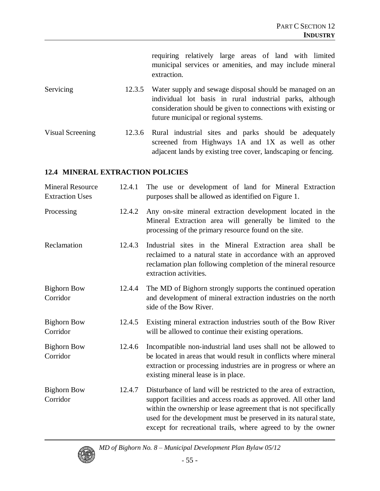requiring relatively large areas of land with limited municipal services or amenities, and may include mineral extraction.

- Servicing 12.3.5 Water supply and sewage disposal should be managed on an individual lot basis in rural industrial parks, although consideration should be given to connections with existing or future municipal or regional systems.
- Visual Screening 12.3.6 Rural industrial sites and parks should be adequately screened from Highways 1A and 1X as well as other adjacent lands by existing tree cover, landscaping or fencing.

#### **12.4 MINERAL EXTRACTION POLICIES**

| <b>Mineral Resource</b><br><b>Extraction Uses</b> | 12.4.1 | The use or development of land for Mineral Extraction<br>purposes shall be allowed as identified on Figure 1.                                                                                                                                                                                                                                |
|---------------------------------------------------|--------|----------------------------------------------------------------------------------------------------------------------------------------------------------------------------------------------------------------------------------------------------------------------------------------------------------------------------------------------|
| Processing                                        | 12.4.2 | Any on-site mineral extraction development located in the<br>Mineral Extraction area will generally be limited to the<br>processing of the primary resource found on the site.                                                                                                                                                               |
| Reclamation                                       | 12.4.3 | Industrial sites in the Mineral Extraction area shall be<br>reclaimed to a natural state in accordance with an approved<br>reclamation plan following completion of the mineral resource<br>extraction activities.                                                                                                                           |
| <b>Bighorn Bow</b><br>Corridor                    | 12.4.4 | The MD of Bighorn strongly supports the continued operation<br>and development of mineral extraction industries on the north<br>side of the Bow River.                                                                                                                                                                                       |
| <b>Bighorn Bow</b><br>Corridor                    | 12.4.5 | Existing mineral extraction industries south of the Bow River<br>will be allowed to continue their existing operations.                                                                                                                                                                                                                      |
| <b>Bighorn Bow</b><br>Corridor                    | 12.4.6 | Incompatible non-industrial land uses shall not be allowed to<br>be located in areas that would result in conflicts where mineral<br>extraction or processing industries are in progress or where an<br>existing mineral lease is in place.                                                                                                  |
| <b>Bighorn Bow</b><br>Corridor                    | 12.4.7 | Disturbance of land will be restricted to the area of extraction,<br>support facilities and access roads as approved. All other land<br>within the ownership or lease agreement that is not specifically<br>used for the development must be preserved in its natural state,<br>except for recreational trails, where agreed to by the owner |

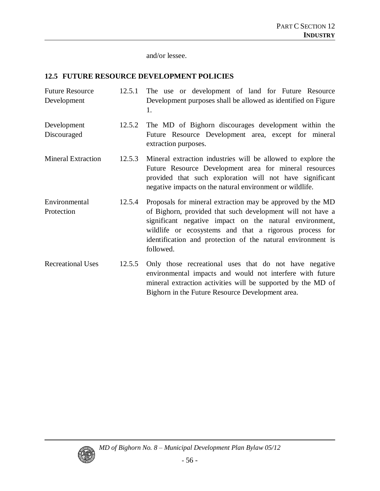and/or lessee.

#### **12.5 FUTURE RESOURCE DEVELOPMENT POLICIES**

- Future Resource Development 12.5.1 The use or development of land for Future Resource Development purposes shall be allowed as identified on Figure 1.
- Development Discouraged 12.5.2 The MD of Bighorn discourages development within the Future Resource Development area, except for mineral extraction purposes.
- Mineral Extraction 12.5.3 Mineral extraction industries will be allowed to explore the Future Resource Development area for mineral resources provided that such exploration will not have significant negative impacts on the natural environment or wildlife.
- Environmental **Protection** 12.5.4 Proposals for mineral extraction may be approved by the MD of Bighorn, provided that such development will not have a significant negative impact on the natural environment, wildlife or ecosystems and that a rigorous process for identification and protection of the natural environment is followed.
- Recreational Uses 12.5.5 Only those recreational uses that do not have negative environmental impacts and would not interfere with future mineral extraction activities will be supported by the MD of Bighorn in the Future Resource Development area.

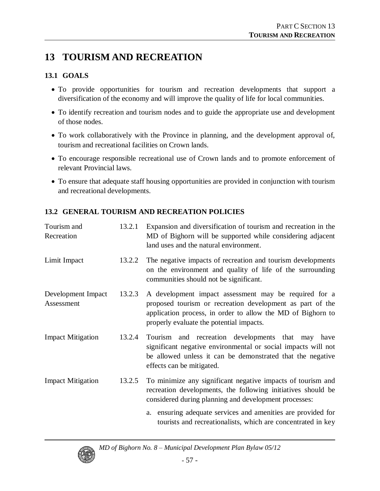# **13 TOURISM AND RECREATION**

### **13.1 GOALS**

- To provide opportunities for tourism and recreation developments that support a diversification of the economy and will improve the quality of life for local communities.
- To identify recreation and tourism nodes and to guide the appropriate use and development of those nodes.
- To work collaboratively with the Province in planning, and the development approval of, tourism and recreational facilities on Crown lands.
- To encourage responsible recreational use of Crown lands and to promote enforcement of relevant Provincial laws.
- To ensure that adequate staff housing opportunities are provided in conjunction with tourism and recreational developments.

## **13.2 GENERAL TOURISM AND RECREATION POLICIES**

| Tourism and<br>Recreation        | 13.2.1 | Expansion and diversification of tourism and recreation in the<br>MD of Bighorn will be supported while considering adjacent<br>land uses and the natural environment.                                                        |
|----------------------------------|--------|-------------------------------------------------------------------------------------------------------------------------------------------------------------------------------------------------------------------------------|
| Limit Impact                     | 13.2.2 | The negative impacts of recreation and tourism developments<br>on the environment and quality of life of the surrounding<br>communities should not be significant.                                                            |
| Development Impact<br>Assessment | 13.2.3 | A development impact assessment may be required for a<br>proposed tourism or recreation development as part of the<br>application process, in order to allow the MD of Bighorn to<br>properly evaluate the potential impacts. |
| <b>Impact Mitigation</b>         | 13.2.4 | Tourism and recreation developments that may have<br>significant negative environmental or social impacts will not<br>be allowed unless it can be demonstrated that the negative<br>effects can be mitigated.                 |
| <b>Impact Mitigation</b>         | 13.2.5 | To minimize any significant negative impacts of tourism and<br>recreation developments, the following initiatives should be<br>considered during planning and development processes:                                          |
|                                  |        | a. ensuring adequate services and amenities are provided for<br>tourists and recreationalists, which are concentrated in key                                                                                                  |

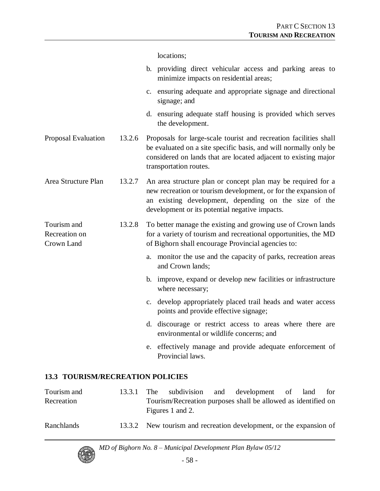locations;

| b. providing direct vehicular access and parking areas to |  |  |  |  |
|-----------------------------------------------------------|--|--|--|--|
| minimize impacts on residential areas;                    |  |  |  |  |

- c. ensuring adequate and appropriate signage and directional signage; and
- d. ensuring adequate staff housing is provided which serves the development.
- Proposal Evaluation 13.2.6 Proposals for large-scale tourist and recreation facilities shall be evaluated on a site specific basis, and will normally only be considered on lands that are located adjacent to existing major transportation routes.
- Area Structure Plan 13.2.7 An area structure plan or concept plan may be required for a new recreation or tourism development, or for the expansion of an existing development, depending on the size of the development or its potential negative impacts.
- Tourism and Recreation on Crown Land 13.2.8 To better manage the existing and growing use of Crown lands for a variety of tourism and recreational opportunities, the MD of Bighorn shall encourage Provincial agencies to:
	- a. monitor the use and the capacity of parks, recreation areas and Crown lands;
		- b. improve, expand or develop new facilities or infrastructure where necessary;
		- c. develop appropriately placed trail heads and water access points and provide effective signage;
		- d. discourage or restrict access to areas where there are environmental or wildlife concerns; and
		- e. effectively manage and provide adequate enforcement of Provincial laws.

#### **13.3 TOURISM/RECREATION POLICIES**

| Tourism and | 13.3.1 | The |                  | subdivision and development of land                           |  | for |  |
|-------------|--------|-----|------------------|---------------------------------------------------------------|--|-----|--|
| Recreation  |        |     | Figures 1 and 2. | Tourism/Recreation purposes shall be allowed as identified on |  |     |  |
| Ranchlands  | 13.3.2 |     |                  | New tourism and recreation development, or the expansion of   |  |     |  |

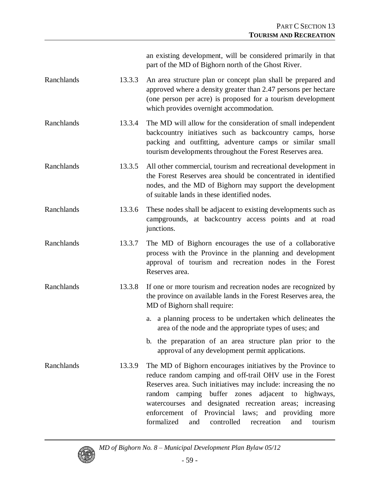| an existing development, will be considered primarily in that |  |
|---------------------------------------------------------------|--|
| part of the MD of Bighorn north of the Ghost River.           |  |

- Ranchlands 13.3.3 An area structure plan or concept plan shall be prepared and approved where a density greater than 2.47 persons per hectare (one person per acre) is proposed for a tourism development which provides overnight accommodation.
- Ranchlands 13.3.4 The MD will allow for the consideration of small independent backcountry initiatives such as backcountry camps, horse packing and outfitting, adventure camps or similar small tourism developments throughout the Forest Reserves area.
- Ranchlands 13.3.5 All other commercial, tourism and recreational development in the Forest Reserves area should be concentrated in identified nodes, and the MD of Bighorn may support the development of suitable lands in these identified nodes.
- Ranchlands 13.3.6 These nodes shall be adjacent to existing developments such as campgrounds, at backcountry access points and at road junctions.
- Ranchlands 13.3.7 The MD of Bighorn encourages the use of a collaborative process with the Province in the planning and development approval of tourism and recreation nodes in the Forest Reserves area.
- Ranchlands 13.3.8 If one or more tourism and recreation nodes are recognized by the province on available lands in the Forest Reserves area, the MD of Bighorn shall require:
	- a. a planning process to be undertaken which delineates the area of the node and the appropriate types of uses; and
	- b. the preparation of an area structure plan prior to the approval of any development permit applications.
- Ranchlands 13.3.9 The MD of Bighorn encourages initiatives by the Province to reduce random camping and off-trail OHV use in the Forest Reserves area. Such initiatives may include: increasing the no random camping buffer zones adjacent to highways, watercourses and designated recreation areas; increasing enforcement of Provincial laws; and providing more formalized and controlled recreation and tourism

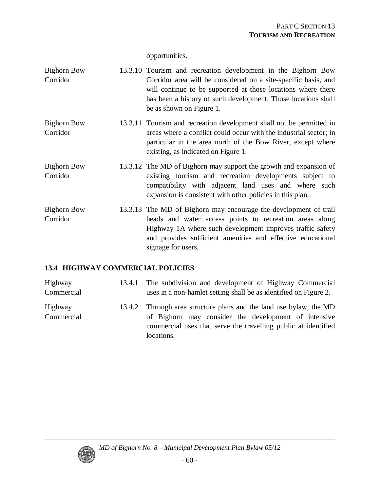opportunities.

| <b>Bighorn Bow</b><br>Corridor | 13.3.10 Tourism and recreation development in the Bighorn Bow<br>Corridor area will be considered on a site-specific basis, and<br>will continue to be supported at those locations where there<br>has been a history of such development. Those locations shall<br>be as shown on Figure 1. |
|--------------------------------|----------------------------------------------------------------------------------------------------------------------------------------------------------------------------------------------------------------------------------------------------------------------------------------------|
| Bighorn Bow<br>Corridor        | 13.3.11 Tourism and recreation development shall not be permitted in<br>areas where a conflict could occur with the industrial sector; in<br>particular in the area north of the Bow River, except where<br>existing, as indicated on Figure 1.                                              |
| <b>Bighorn Bow</b><br>Corridor | 13.3.12 The MD of Bighorn may support the growth and expansion of<br>existing tourism and recreation developments subject to<br>compatibility with adjacent land uses and where such<br>expansion is consistent with other policies in this plan.                                            |
| <b>Bighorn Bow</b><br>Corridor | 13.3.13 The MD of Bighorn may encourage the development of trail<br>heads and water access points to recreation areas along<br>Highway 1A where such development improves traffic safety<br>and provides sufficient amenities and effective educational<br>signage for users.                |

## **13.4 HIGHWAY COMMERCIAL POLICIES**

| <b>Highway</b><br>Commercial | 13.4.1 | The subdivision and development of Highway Commercial<br>uses in a non-hamlet setting shall be as identified on Figure 2.                                                                                  |
|------------------------------|--------|------------------------------------------------------------------------------------------------------------------------------------------------------------------------------------------------------------|
| Highway<br>Commercial        |        | 13.4.2 Through area structure plans and the land use bylaw, the MD<br>of Bighorn may consider the development of intensive<br>commercial uses that serve the travelling public at identified<br>locations. |

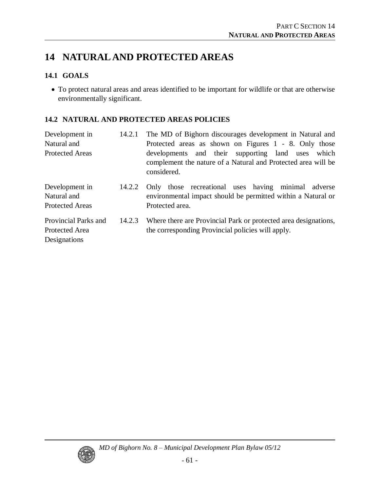# **14 NATURAL AND PROTECTED AREAS**

### **14.1 GOALS**

To protect natural areas and areas identified to be important for wildlife or that are otherwise environmentally significant.

### **14.2 NATURAL AND PROTECTED AREAS POLICIES**

| Development in<br>Natural and<br><b>Protected Areas</b> | 14.2.1 | The MD of Bighorn discourages development in Natural and<br>Protected areas as shown on Figures 1 - 8. Only those<br>developments and their supporting land uses which<br>complement the nature of a Natural and Protected area will be<br>considered. |
|---------------------------------------------------------|--------|--------------------------------------------------------------------------------------------------------------------------------------------------------------------------------------------------------------------------------------------------------|
| Development in<br>Natural and<br><b>Protected Areas</b> | 14.2.2 | Only those recreational uses having minimal adverse<br>environmental impact should be permitted within a Natural or<br>Protected area.                                                                                                                 |
| Provincial Parks and<br>Protected Area<br>Designations  | 14.2.3 | Where there are Provincial Park or protected area designations,<br>the corresponding Provincial policies will apply.                                                                                                                                   |

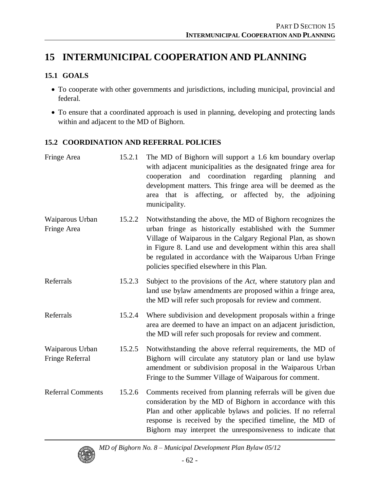# **15 INTERMUNICIPAL COOPERATION AND PLANNING**

### **15.1 GOALS**

- To cooperate with other governments and jurisdictions, including municipal, provincial and federal.
- To ensure that a coordinated approach is used in planning, developing and protecting lands within and adjacent to the MD of Bighorn.

### **15.2 COORDINATION AND REFERRAL POLICIES**

| Fringe Area                        | 15.2.1 | The MD of Bighorn will support a 1.6 km boundary overlap<br>with adjacent municipalities as the designated fringe area for<br>and coordination regarding planning<br>cooperation<br>and<br>development matters. This fringe area will be deemed as the<br>area that is affecting, or affected by, the<br>adjoining<br>municipality.                                |
|------------------------------------|--------|--------------------------------------------------------------------------------------------------------------------------------------------------------------------------------------------------------------------------------------------------------------------------------------------------------------------------------------------------------------------|
| Waiparous Urban<br>Fringe Area     | 15.2.2 | Notwithstanding the above, the MD of Bighorn recognizes the<br>urban fringe as historically established with the Summer<br>Village of Waiparous in the Calgary Regional Plan, as shown<br>in Figure 8. Land use and development within this area shall<br>be regulated in accordance with the Waiparous Urban Fringe<br>policies specified elsewhere in this Plan. |
| Referrals                          | 15.2.3 | Subject to the provisions of the Act, where statutory plan and<br>land use bylaw amendments are proposed within a fringe area,<br>the MD will refer such proposals for review and comment.                                                                                                                                                                         |
| Referrals                          | 15.2.4 | Where subdivision and development proposals within a fringe<br>area are deemed to have an impact on an adjacent jurisdiction,<br>the MD will refer such proposals for review and comment.                                                                                                                                                                          |
| Waiparous Urban<br>Fringe Referral | 15.2.5 | Notwithstanding the above referral requirements, the MD of<br>Bighorn will circulate any statutory plan or land use bylaw<br>amendment or subdivision proposal in the Waiparous Urban<br>Fringe to the Summer Village of Waiparous for comment.                                                                                                                    |
| <b>Referral Comments</b>           | 15.2.6 | Comments received from planning referrals will be given due<br>consideration by the MD of Bighorn in accordance with this<br>Plan and other applicable bylaws and policies. If no referral<br>response is received by the specified timeline, the MD of<br>Bighorn may interpret the unresponsiveness to indicate that                                             |

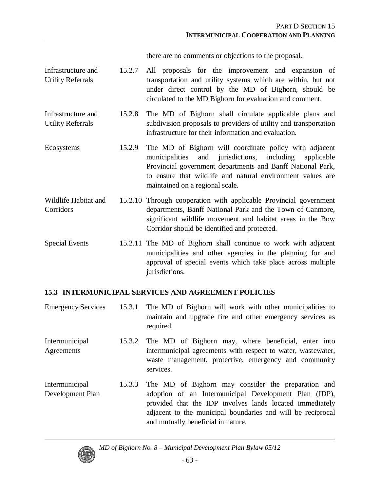there are no comments or objections to the proposal.

- Infrastructure and Utility Referrals 15.2.7 All proposals for the improvement and expansion of transportation and utility systems which are within, but not under direct control by the MD of Bighorn, should be circulated to the MD Bighorn for evaluation and comment.
- Infrastructure and Utility Referrals 15.2.8 The MD of Bighorn shall circulate applicable plans and subdivision proposals to providers of utility and transportation infrastructure for their information and evaluation.
- Ecosystems 15.2.9 The MD of Bighorn will coordinate policy with adjacent municipalities and jurisdictions, including applicable Provincial government departments and Banff National Park, to ensure that wildlife and natural environment values are maintained on a regional scale.
- Wildlife Habitat and Corridors 15.2.10 Through cooperation with applicable Provincial government departments, Banff National Park and the Town of Canmore, significant wildlife movement and habitat areas in the Bow Corridor should be identified and protected.
- Special Events 15.2.11 The MD of Bighorn shall continue to work with adjacent municipalities and other agencies in the planning for and approval of special events which take place across multiple jurisdictions.

#### **15.3 INTERMUNICIPAL SERVICES AND AGREEMENT POLICIES**

- Emergency Services 15.3.1 The MD of Bighorn will work with other municipalities to maintain and upgrade fire and other emergency services as required.
- Intermunicipal Agreements 15.3.2 The MD of Bighorn may, where beneficial, enter into intermunicipal agreements with respect to water, wastewater, waste management, protective, emergency and community services.
- Intermunicipal Development Plan 15.3.3 The MD of Bighorn may consider the preparation and adoption of an Intermunicipal Development Plan (IDP), provided that the IDP involves lands located immediately adjacent to the municipal boundaries and will be reciprocal and mutually beneficial in nature.

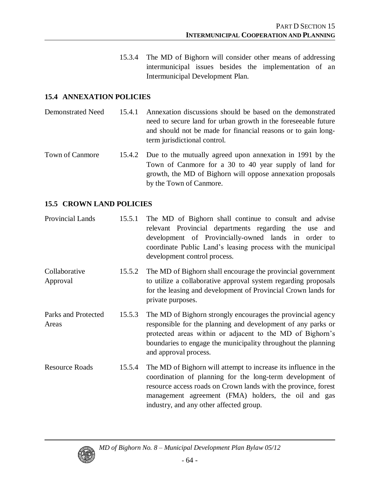15.3.4 The MD of Bighorn will consider other means of addressing intermunicipal issues besides the implementation of an Intermunicipal Development Plan.

#### **15.4 ANNEXATION POLICIES**

Demonstrated Need 15.4.1 Annexation discussions should be based on the demonstrated need to secure land for urban growth in the foreseeable future and should not be made for financial reasons or to gain longterm jurisdictional control.

Town of Canmore 15.4.2 Due to the mutually agreed upon annexation in 1991 by the Town of Canmore for a 30 to 40 year supply of land for growth, the MD of Bighorn will oppose annexation proposals by the Town of Canmore.

#### **15.5 CROWN LAND POLICIES**

| Provincial Lands             | 15.5.1 | The MD of Bighorn shall continue to consult and advise<br>relevant Provincial departments regarding the use and<br>development of Provincially-owned lands in order to<br>coordinate Public Land's leasing process with the municipal<br>development control process.                            |
|------------------------------|--------|--------------------------------------------------------------------------------------------------------------------------------------------------------------------------------------------------------------------------------------------------------------------------------------------------|
| Collaborative<br>Approval    | 15.5.2 | The MD of Bighorn shall encourage the provincial government<br>to utilize a collaborative approval system regarding proposals<br>for the leasing and development of Provincial Crown lands for<br>private purposes.                                                                              |
| Parks and Protected<br>Areas | 15.5.3 | The MD of Bighorn strongly encourages the provincial agency<br>responsible for the planning and development of any parks or<br>protected areas within or adjacent to the MD of Bighorn's<br>boundaries to engage the municipality throughout the planning<br>and approval process.               |
| <b>Resource Roads</b>        | 15.5.4 | The MD of Bighorn will attempt to increase its influence in the<br>coordination of planning for the long-term development of<br>resource access roads on Crown lands with the province, forest<br>management agreement (FMA) holders, the oil and gas<br>industry, and any other affected group. |

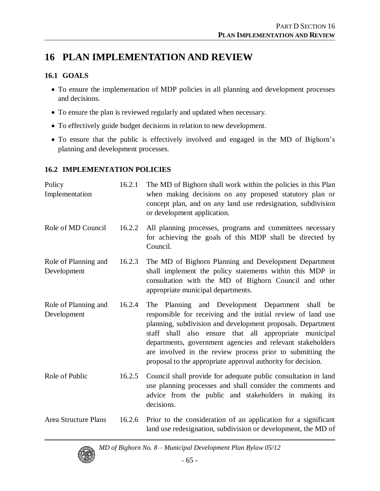# **16 PLAN IMPLEMENTATION AND REVIEW**

### **16.1 GOALS**

- To ensure the implementation of MDP policies in all planning and development processes and decisions.
- To ensure the plan is reviewed regularly and updated when necessary.
- To effectively guide budget decisions in relation to new development.
- To ensure that the public is effectively involved and engaged in the MD of Bighorn's planning and development processes.

### **16.2 IMPLEMENTATION POLICIES**

| Policy<br>Implementation            | 16.2.1 | The MD of Bighorn shall work within the policies in this Plan<br>when making decisions on any proposed statutory plan or<br>concept plan, and on any land use redesignation, subdivision<br>or development application.                                                                                                                                                                                                               |
|-------------------------------------|--------|---------------------------------------------------------------------------------------------------------------------------------------------------------------------------------------------------------------------------------------------------------------------------------------------------------------------------------------------------------------------------------------------------------------------------------------|
| Role of MD Council                  | 16.2.2 | All planning processes, programs and committees necessary<br>for achieving the goals of this MDP shall be directed by<br>Council.                                                                                                                                                                                                                                                                                                     |
| Role of Planning and<br>Development | 16.2.3 | The MD of Bighorn Planning and Development Department<br>shall implement the policy statements within this MDP in<br>consultation with the MD of Bighorn Council and other<br>appropriate municipal departments.                                                                                                                                                                                                                      |
| Role of Planning and<br>Development | 16.2.4 | The Planning and Development Department shall be<br>responsible for receiving and the initial review of land use<br>planning, subdivision and development proposals. Department<br>staff shall also ensure that all appropriate municipal<br>departments, government agencies and relevant stakeholders<br>are involved in the review process prior to submitting the<br>proposal to the appropriate approval authority for decision. |
| Role of Public                      | 16.2.5 | Council shall provide for adequate public consultation in land<br>use planning processes and shall consider the comments and<br>advice from the public and stakeholders in making its<br>decisions.                                                                                                                                                                                                                                   |
| <b>Area Structure Plans</b>         | 16.2.6 | Prior to the consideration of an application for a significant<br>land use redesignation, subdivision or development, the MD of                                                                                                                                                                                                                                                                                                       |

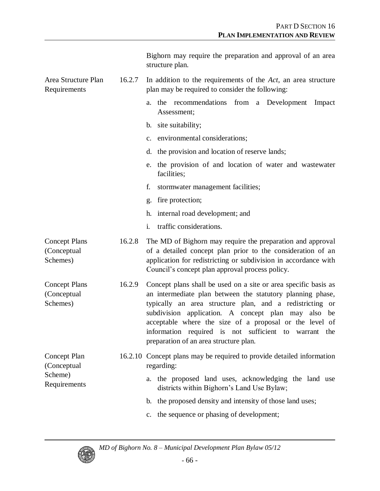|                                                        |        | Bighorn may require the preparation and approval of an area<br>structure plan.                                                                                                                                                                                                                                                                                                                                 |
|--------------------------------------------------------|--------|----------------------------------------------------------------------------------------------------------------------------------------------------------------------------------------------------------------------------------------------------------------------------------------------------------------------------------------------------------------------------------------------------------------|
| Area Structure Plan<br>Requirements                    | 16.2.7 | In addition to the requirements of the $Act$ , an area structure<br>plan may be required to consider the following:                                                                                                                                                                                                                                                                                            |
|                                                        |        | a. the recommendations from a Development Impact<br>Assessment;                                                                                                                                                                                                                                                                                                                                                |
|                                                        |        | b. site suitability;                                                                                                                                                                                                                                                                                                                                                                                           |
|                                                        |        | c. environmental considerations;                                                                                                                                                                                                                                                                                                                                                                               |
|                                                        |        | d. the provision and location of reserve lands;                                                                                                                                                                                                                                                                                                                                                                |
|                                                        |        | e. the provision of and location of water and wastewater<br>facilities;                                                                                                                                                                                                                                                                                                                                        |
|                                                        |        | stormwater management facilities;<br>f.                                                                                                                                                                                                                                                                                                                                                                        |
|                                                        |        | g. fire protection;                                                                                                                                                                                                                                                                                                                                                                                            |
|                                                        |        | h. internal road development; and                                                                                                                                                                                                                                                                                                                                                                              |
|                                                        |        | traffic considerations.<br>$i_{-}$                                                                                                                                                                                                                                                                                                                                                                             |
| <b>Concept Plans</b><br>(Conceptual<br>Schemes)        | 16.2.8 | The MD of Bighorn may require the preparation and approval<br>of a detailed concept plan prior to the consideration of an<br>application for redistricting or subdivision in accordance with<br>Council's concept plan approval process policy.                                                                                                                                                                |
| <b>Concept Plans</b><br>(Conceptual<br>Schemes)        | 16.2.9 | Concept plans shall be used on a site or area specific basis as<br>an intermediate plan between the statutory planning phase,<br>typically an area structure plan, and a redistricting or<br>subdivision application. A concept plan may also be<br>acceptable where the size of a proposal or the level of<br>information required is not sufficient to warrant the<br>preparation of an area structure plan. |
| Concept Plan<br>(Conceptual<br>Scheme)<br>Requirements |        | 16.2.10 Concept plans may be required to provide detailed information<br>regarding:                                                                                                                                                                                                                                                                                                                            |
|                                                        |        | a. the proposed land uses, acknowledging the land use<br>districts within Bighorn's Land Use Bylaw;                                                                                                                                                                                                                                                                                                            |
|                                                        |        | b. the proposed density and intensity of those land uses;                                                                                                                                                                                                                                                                                                                                                      |
|                                                        |        | c. the sequence or phasing of development;                                                                                                                                                                                                                                                                                                                                                                     |

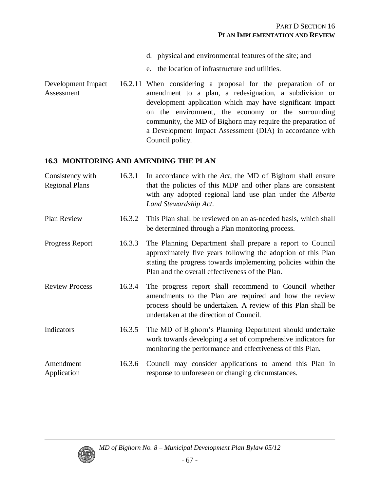- d. physical and environmental features of the site; and
- e. the location of infrastructure and utilities.
- Development Impact Assessment 16.2.11 When considering a proposal for the preparation of or amendment to a plan, a redesignation, a subdivision or development application which may have significant impact on the environment, the economy or the surrounding community, the MD of Bighorn may require the preparation of a Development Impact Assessment (DIA) in accordance with Council policy.

## **16.3 MONITORING AND AMENDING THE PLAN**

| Consistency with<br><b>Regional Plans</b> | 16.3.1 | In accordance with the Act, the MD of Bighorn shall ensure<br>that the policies of this MDP and other plans are consistent<br>with any adopted regional land use plan under the Alberta<br>Land Stewardship Act.                              |
|-------------------------------------------|--------|-----------------------------------------------------------------------------------------------------------------------------------------------------------------------------------------------------------------------------------------------|
| <b>Plan Review</b>                        | 16.3.2 | This Plan shall be reviewed on an as-needed basis, which shall<br>be determined through a Plan monitoring process.                                                                                                                            |
| Progress Report                           | 16.3.3 | The Planning Department shall prepare a report to Council<br>approximately five years following the adoption of this Plan<br>stating the progress towards implementing policies within the<br>Plan and the overall effectiveness of the Plan. |
| <b>Review Process</b>                     | 16.3.4 | The progress report shall recommend to Council whether<br>amendments to the Plan are required and how the review<br>process should be undertaken. A review of this Plan shall be<br>undertaken at the direction of Council.                   |
| Indicators                                | 16.3.5 | The MD of Bighorn's Planning Department should undertake<br>work towards developing a set of comprehensive indicators for<br>monitoring the performance and effectiveness of this Plan.                                                       |
| Amendment<br>Application                  | 16.3.6 | Council may consider applications to amend this Plan in<br>response to unforeseen or changing circumstances.                                                                                                                                  |

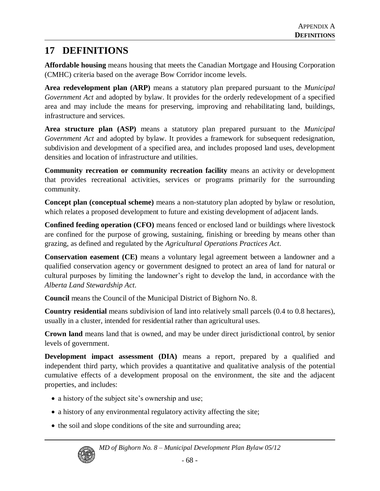## **17 DEFINITIONS**

**Affordable housing** means housing that meets the Canadian Mortgage and Housing Corporation (CMHC) criteria based on the average Bow Corridor income levels.

**Area redevelopment plan (ARP)** means a statutory plan prepared pursuant to the *Municipal Government Act* and adopted by bylaw. It provides for the orderly redevelopment of a specified area and may include the means for preserving, improving and rehabilitating land, buildings, infrastructure and services.

**Area structure plan (ASP)** means a statutory plan prepared pursuant to the *Municipal Government Act* and adopted by bylaw. It provides a framework for subsequent redesignation, subdivision and development of a specified area, and includes proposed land uses, development densities and location of infrastructure and utilities.

**Community recreation or community recreation facility** means an activity or development that provides recreational activities, services or programs primarily for the surrounding community.

**Concept plan (conceptual scheme)** means a non-statutory plan adopted by bylaw or resolution, which relates a proposed development to future and existing development of adjacent lands.

**Confined feeding operation (CFO)** means fenced or enclosed land or buildings where livestock are confined for the purpose of growing, sustaining, finishing or breeding by means other than grazing, as defined and regulated by the *Agricultural Operations Practices Act*.

**Conservation easement (CE)** means a voluntary legal agreement between a landowner and a qualified conservation agency or government designed to protect an area of land for natural or cultural purposes by limiting the landowner's right to develop the land, in accordance with the *Alberta Land Stewardship Act*.

**Council** means the Council of the Municipal District of Bighorn No. 8.

**Country residential** means subdivision of land into relatively small parcels (0.4 to 0.8 hectares), usually in a cluster, intended for residential rather than agricultural uses.

**Crown land** means land that is owned, and may be under direct jurisdictional control, by senior levels of government.

**Development impact assessment (DIA)** means a report, prepared by a qualified and independent third party, which provides a quantitative and qualitative analysis of the potential cumulative effects of a development proposal on the environment, the site and the adjacent properties, and includes:

- a history of the subject site's ownership and use;
- a history of any environmental regulatory activity affecting the site;
- the soil and slope conditions of the site and surrounding area;

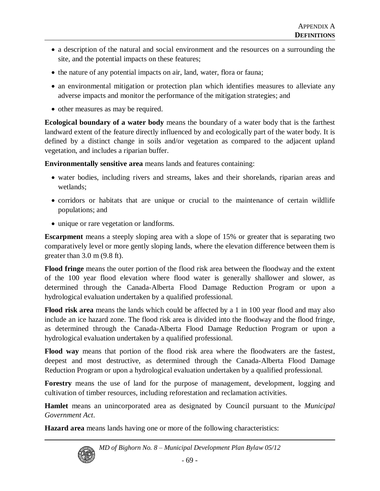- a description of the natural and social environment and the resources on a surrounding the site, and the potential impacts on these features;
- the nature of any potential impacts on air, land, water, flora or fauna;
- an environmental mitigation or protection plan which identifies measures to alleviate any adverse impacts and monitor the performance of the mitigation strategies; and
- other measures as may be required.

**Ecological boundary of a water body** means the boundary of a water body that is the farthest landward extent of the feature directly influenced by and ecologically part of the water body. It is defined by a distinct change in soils and/or vegetation as compared to the adjacent upland vegetation, and includes a riparian buffer.

**Environmentally sensitive area** means lands and features containing:

- water bodies, including rivers and streams, lakes and their shorelands, riparian areas and wetlands;
- corridors or habitats that are unique or crucial to the maintenance of certain wildlife populations; and
- unique or rare vegetation or landforms.

**Escarpment** means a steeply sloping area with a slope of 15% or greater that is separating two comparatively level or more gently sloping lands, where the elevation difference between them is greater than 3.0 m (9.8 ft).

**Flood fringe** means the outer portion of the flood risk area between the floodway and the extent of the 100 year flood elevation where flood water is generally shallower and slower, as determined through the Canada-Alberta Flood Damage Reduction Program or upon a hydrological evaluation undertaken by a qualified professional.

**Flood risk area** means the lands which could be affected by a 1 in 100 year flood and may also include an ice hazard zone. The flood risk area is divided into the floodway and the flood fringe, as determined through the Canada-Alberta Flood Damage Reduction Program or upon a hydrological evaluation undertaken by a qualified professional.

**Flood way** means that portion of the flood risk area where the floodwaters are the fastest, deepest and most destructive, as determined through the Canada-Alberta Flood Damage Reduction Program or upon a hydrological evaluation undertaken by a qualified professional.

**Forestry** means the use of land for the purpose of management, development, logging and cultivation of timber resources, including reforestation and reclamation activities.

**Hamlet** means an unincorporated area as designated by Council pursuant to the *Municipal Government Act*.

**Hazard area** means lands having one or more of the following characteristics:



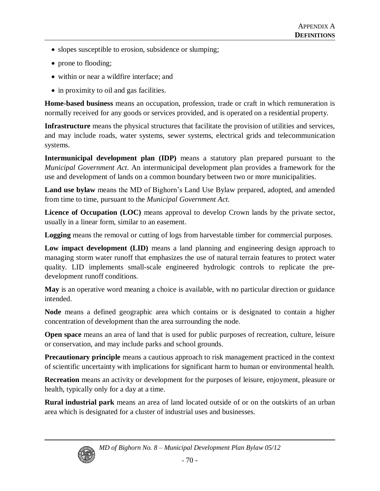- slopes susceptible to erosion, subsidence or slumping;
- prone to flooding;
- within or near a wildfire interface: and
- in proximity to oil and gas facilities.

**Home-based business** means an occupation, profession, trade or craft in which remuneration is normally received for any goods or services provided, and is operated on a residential property.

**Infrastructure** means the physical structures that facilitate the provision of utilities and services, and may include roads, water systems, sewer systems, electrical grids and telecommunication systems.

**Intermunicipal development plan (IDP)** means a statutory plan prepared pursuant to the *Municipal Government Act*. An intermunicipal development plan provides a framework for the use and development of lands on a common boundary between two or more municipalities.

Land use bylaw means the MD of Bighorn's Land Use Bylaw prepared, adopted, and amended from time to time, pursuant to the *Municipal Government Act*.

**Licence of Occupation (LOC)** means approval to develop Crown lands by the private sector, usually in a linear form, similar to an easement.

**Logging** means the removal or cutting of logs from harvestable timber for commercial purposes.

**Low impact development (LID)** means a land planning and engineering design approach to managing storm water runoff that emphasizes the use of natural terrain features to protect water quality. LID implements small-scale engineered hydrologic controls to replicate the predevelopment runoff conditions.

**May** is an operative word meaning a choice is available, with no particular direction or guidance intended.

**Node** means a defined geographic area which contains or is designated to contain a higher concentration of development than the area surrounding the node.

**Open space** means an area of land that is used for public purposes of recreation, culture, leisure or conservation, and may include parks and school grounds.

**Precautionary principle** means a cautious approach to risk management practiced in the context of scientific uncertainty with implications for significant harm to human or environmental health.

**Recreation** means an activity or development for the purposes of leisure, enjoyment, pleasure or health, typically only for a day at a time.

**Rural industrial park** means an area of land located outside of or on the outskirts of an urban area which is designated for a cluster of industrial uses and businesses.



*MD of Bighorn No. 8 –Municipal Development Plan Bylaw 05/12*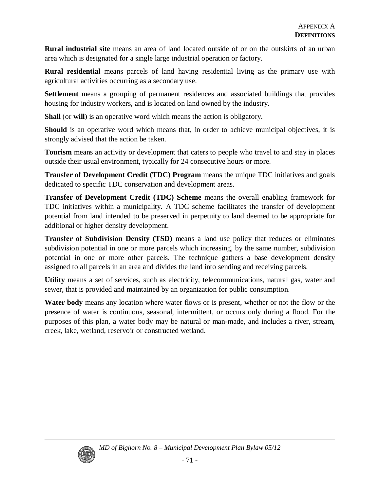**Rural industrial site** means an area of land located outside of or on the outskirts of an urban area which is designated for a single large industrial operation or factory.

**Rural residential** means parcels of land having residential living as the primary use with agricultural activities occurring as a secondary use.

**Settlement** means a grouping of permanent residences and associated buildings that provides housing for industry workers, and is located on land owned by the industry.

**Shall** (or **will**) is an operative word which means the action is obligatory.

**Should** is an operative word which means that, in order to achieve municipal objectives, it is strongly advised that the action be taken.

**Tourism** means an activity or development that caters to people who travel to and stay in places outside their usual environment, typically for 24 consecutive hours or more.

**Transfer of Development Credit (TDC) Program** means the unique TDC initiatives and goals dedicated to specific TDC conservation and development areas.

**Transfer of Development Credit (TDC) Scheme** means the overall enabling framework for TDC initiatives within a municipality. A TDC scheme facilitates the transfer of development potential from land intended to be preserved in perpetuity to land deemed to be appropriate for additional or higher density development.

**Transfer of Subdivision Density (TSD)** means a land use policy that reduces or eliminates subdivision potential in one or more parcels which increasing, by the same number, subdivision potential in one or more other parcels. The technique gathers a base development density assigned to all parcels in an area and divides the land into sending and receiving parcels.

**Utility** means a set of services, such as electricity, telecommunications, natural gas, water and sewer, that is provided and maintained by an organization for public consumption.

**Water body** means any location where water flows or is present, whether or not the flow or the presence of water is continuous, seasonal, intermittent, or occurs only during a flood. For the purposes of this plan, a water body may be natural or man-made, and includes a river, stream, creek, lake, wetland, reservoir or constructed wetland.